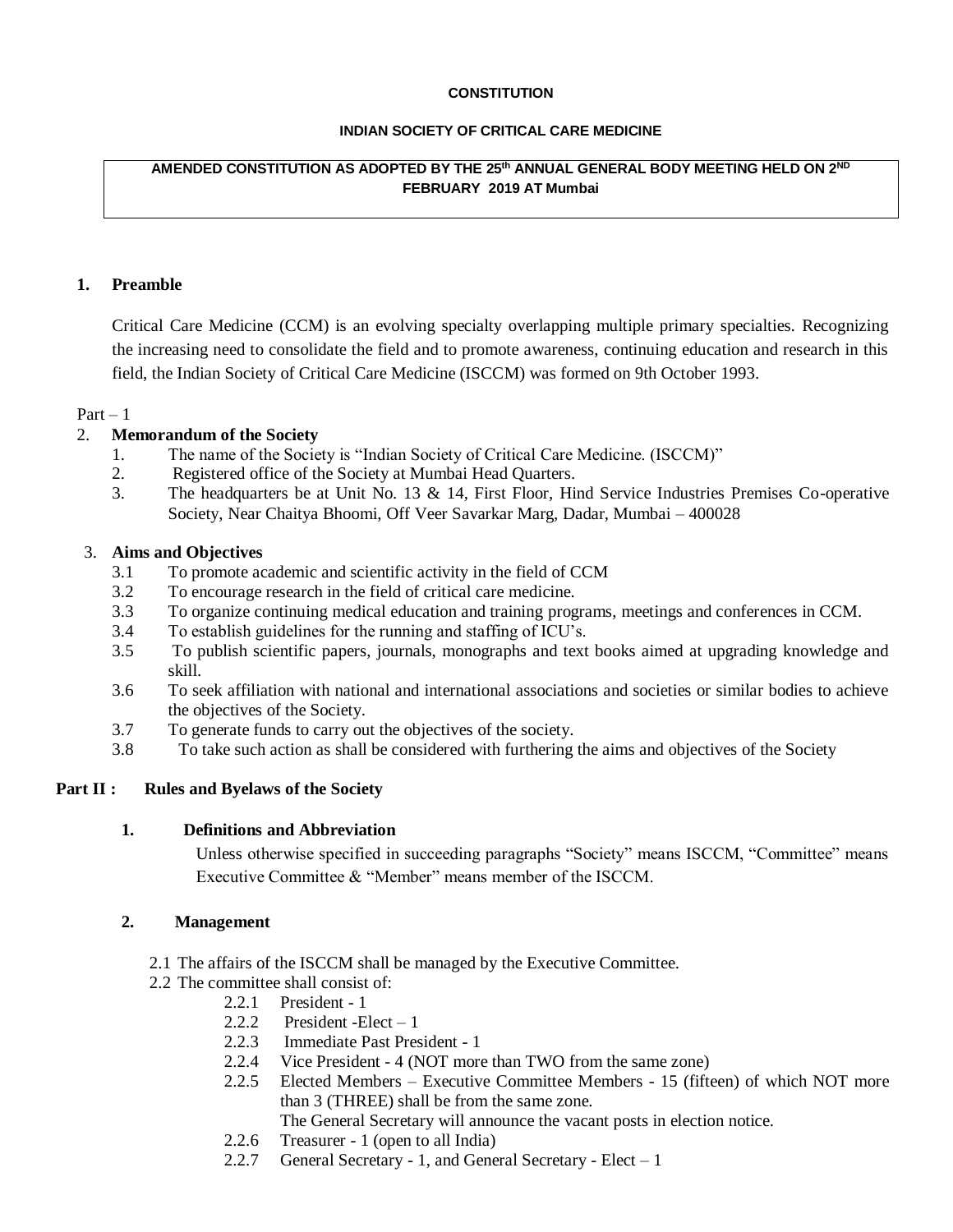### **CONSTITUTION**

### **INDIAN SOCIETY OF CRITICAL CARE MEDICINE**

## **AMENDED CONSTITUTION AS ADOPTED BY THE 25th ANNUAL GENERAL BODY MEETING HELD ON 2 ND FEBRUARY 2019 AT Mumbai**

### **1. Preamble**

Critical Care Medicine (CCM) is an evolving specialty overlapping multiple primary specialties. Recognizing the increasing need to consolidate the field and to promote awareness, continuing education and research in this field, the Indian Society of Critical Care Medicine (ISCCM) was formed on 9th October 1993.

### $Part - 1$

### 2. **Memorandum of the Society**

- 1. The name of the Society is "Indian Society of Critical Care Medicine. (ISCCM)"
- 2. Registered office of the Society at Mumbai Head Quarters.
- 3. The headquarters be at Unit No. 13 & 14, First Floor, Hind Service Industries Premises Co-operative Society, Near Chaitya Bhoomi, Off Veer Savarkar Marg, Dadar, Mumbai – 400028

### 3. **Aims and Objectives**

- 3.1 To promote academic and scientific activity in the field of CCM
- 3.2 To encourage research in the field of critical care medicine.
- 3.3 To organize continuing medical education and training programs, meetings and conferences in CCM.
- 3.4 To establish guidelines for the running and staffing of ICU's.
- 3.5 To publish scientific papers, journals, monographs and text books aimed at upgrading knowledge and skill.
- 3.6 To seek affiliation with national and international associations and societies or similar bodies to achieve the objectives of the Society.
- 3.7 To generate funds to carry out the objectives of the society.
- 3.8 To take such action as shall be considered with furthering the aims and objectives of the Society

### **Part II : Rules and Byelaws of the Society**

### **1. Definitions and Abbreviation**

Unless otherwise specified in succeeding paragraphs "Society" means ISCCM, "Committee" means Executive Committee & "Member" means member of the ISCCM.

### **2. Management**

- 2.1 The affairs of the ISCCM shall be managed by the Executive Committee.
- 2.2 The committee shall consist of:
	- 2.2.1 President 1
	- 2.2.2 President -Elect 1
	- 2.2.3 Immediate Past President 1
	- 2.2.4 Vice President 4 (NOT more than TWO from the same zone)
	- 2.2.5 Elected Members Executive Committee Members 15 (fifteen) of which NOT more than 3 (THREE) shall be from the same zone.

The General Secretary will announce the vacant posts in election notice.

- 2.2.6 Treasurer 1 (open to all India)
- 2.2.7 General Secretary 1, and General Secretary Elect  $-1$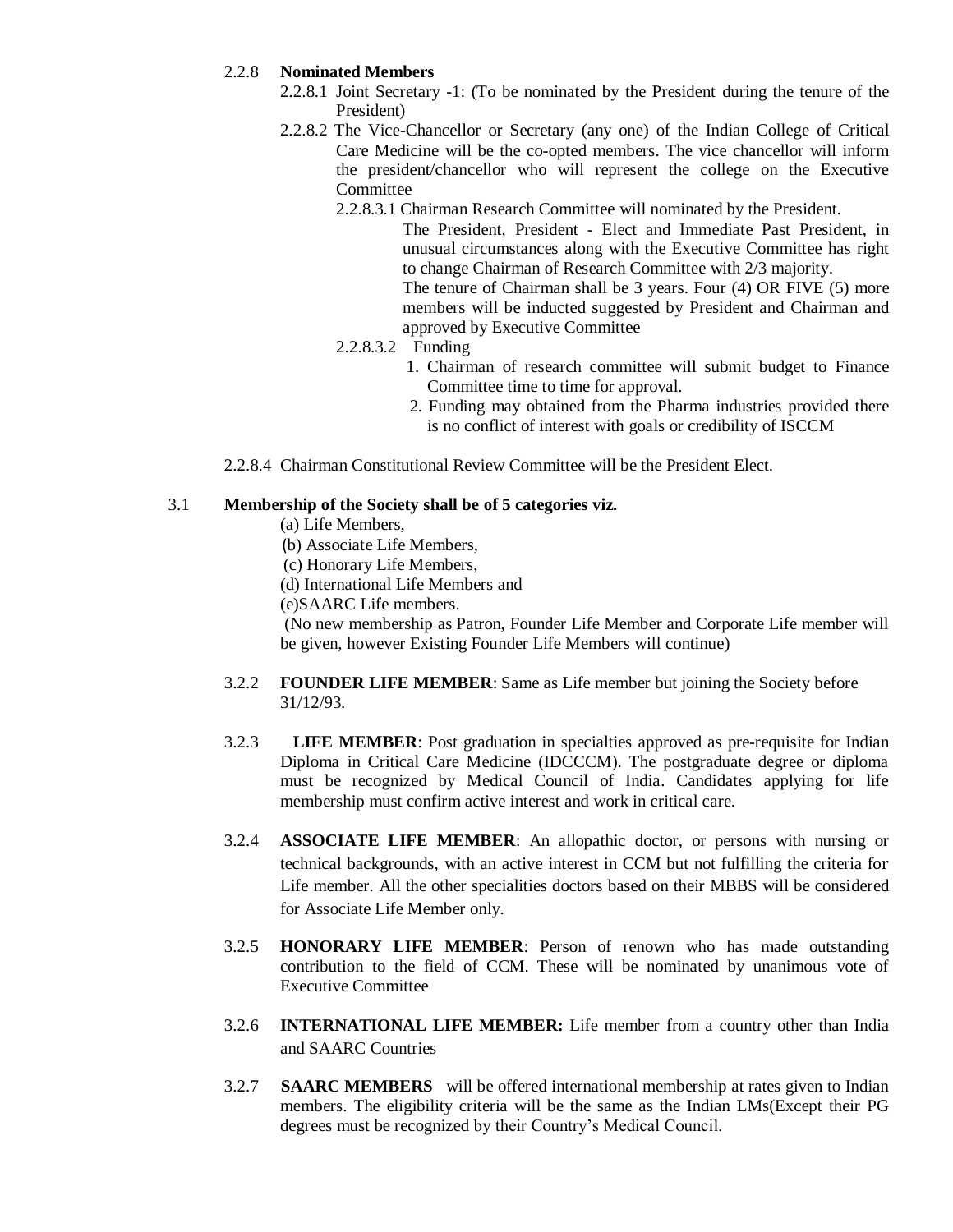## 2.2.8 **Nominated Members**

- 2.2.8.1 Joint Secretary -1: (To be nominated by the President during the tenure of the President)
- 2.2.8.2 The Vice-Chancellor or Secretary (any one) of the Indian College of Critical Care Medicine will be the co-opted members. The vice chancellor will inform the president/chancellor who will represent the college on the Executive Committee
	- 2.2.8.3.1 Chairman Research Committee will nominated by the President.

The President, President - Elect and Immediate Past President, in unusual circumstances along with the Executive Committee has right to change Chairman of Research Committee with 2/3 majority. The tenure of Chairman shall be 3 years. Four (4) OR FIVE (5) more

members will be inducted suggested by President and Chairman and approved by Executive Committee

- 2.2.8.3.2 Funding
	- 1. Chairman of research committee will submit budget to Finance Committee time to time for approval.
	- 2. Funding may obtained from the Pharma industries provided there is no conflict of interest with goals or credibility of ISCCM

2.2.8.4 Chairman Constitutional Review Committee will be the President Elect.

### 3.1 **Membership of the Society shall be of 5 categories viz.**

- (a) Life Members,
- (b) Associate Life Members,
- (c) Honorary Life Members,
- (d) International Life Members and
- (e)SAARC Life members.

(No new membership as Patron, Founder Life Member and Corporate Life member will be given, however Existing Founder Life Members will continue)

- 3.2.2 **FOUNDER LIFE MEMBER**: Same as Life member but joining the Society before 31/12/93.
- 3.2.3 **LIFE MEMBER**: Post graduation in specialties approved as pre-requisite for Indian Diploma in Critical Care Medicine (IDCCCM). The postgraduate degree or diploma must be recognized by Medical Council of India. Candidates applying for life membership must confirm active interest and work in critical care.
- 3.2.4 **ASSOCIATE LIFE MEMBER**: An allopathic doctor, or persons with nursing or technical backgrounds, with an active interest in CCM but not fulfilling the criteria for Life member. All the other specialities doctors based on their MBBS will be considered for Associate Life Member only.
- 3.2.5 **HONORARY LIFE MEMBER**: Person of renown who has made outstanding contribution to the field of CCM. These will be nominated by unanimous vote of Executive Committee
- 3.2.6 **INTERNATIONAL LIFE MEMBER:** Life member from a country other than India and SAARC Countries
- 3.2.7 **SAARC MEMBERS** will be offered international membership at rates given to Indian members. The eligibility criteria will be the same as the Indian LMs(Except their PG degrees must be recognized by their Country's Medical Council.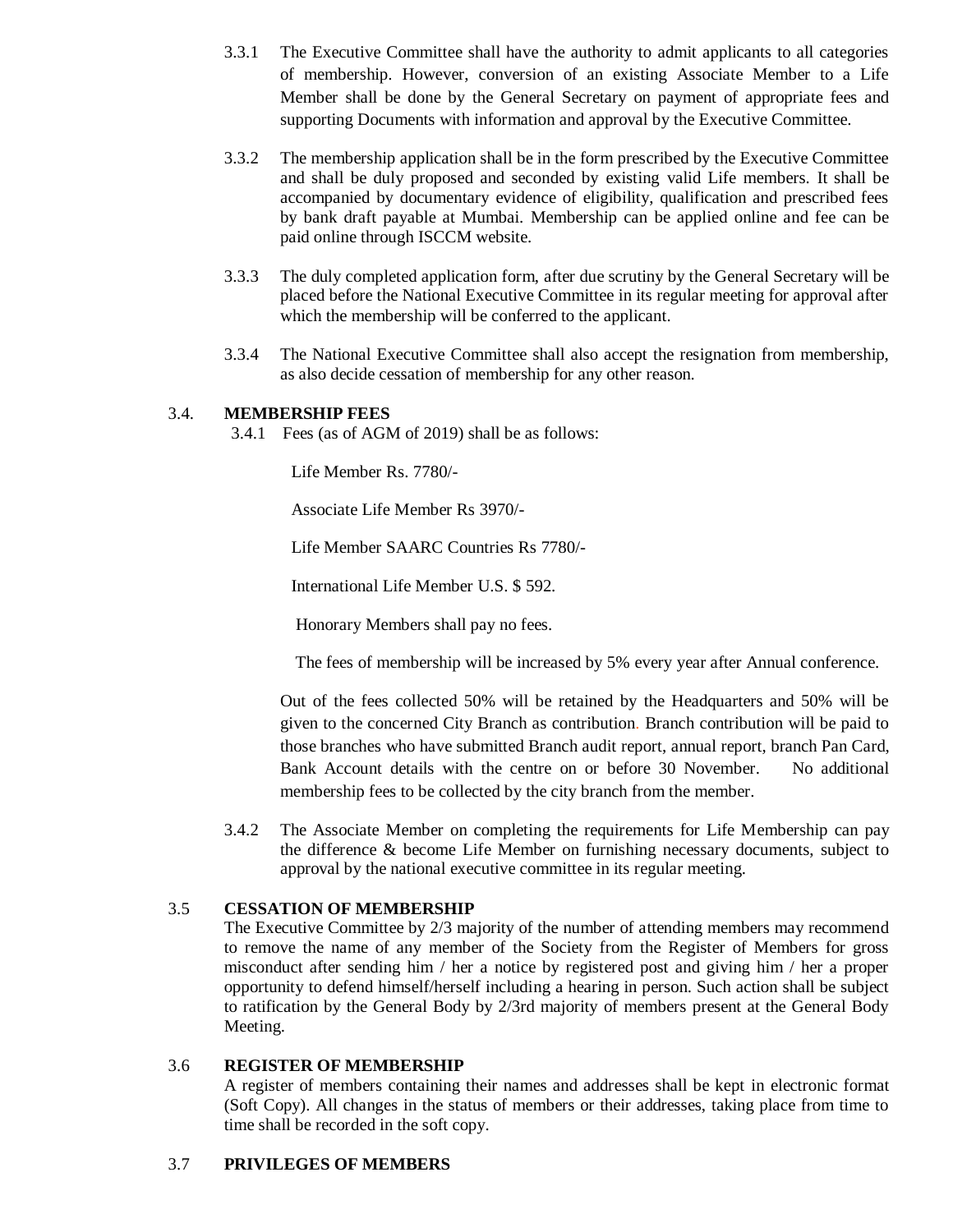- 3.3.1 The Executive Committee shall have the authority to admit applicants to all categories of membership. However, conversion of an existing Associate Member to a Life Member shall be done by the General Secretary on payment of appropriate fees and supporting Documents with information and approval by the Executive Committee.
- 3.3.2 The membership application shall be in the form prescribed by the Executive Committee and shall be duly proposed and seconded by existing valid Life members. It shall be accompanied by documentary evidence of eligibility, qualification and prescribed fees by bank draft payable at Mumbai. Membership can be applied online and fee can be paid online through ISCCM website.
- 3.3.3 The duly completed application form, after due scrutiny by the General Secretary will be placed before the National Executive Committee in its regular meeting for approval after which the membership will be conferred to the applicant.
- 3.3.4 The National Executive Committee shall also accept the resignation from membership, as also decide cessation of membership for any other reason.

## 3.4. **MEMBERSHIP FEES**

3.4.1 Fees (as of AGM of 2019) shall be as follows:

Life Member Rs. 7780/-

Associate Life Member Rs 3970/-

Life Member SAARC Countries Rs 7780/-

International Life Member U.S. \$ 592.

Honorary Members shall pay no fees.

The fees of membership will be increased by 5% every year after Annual conference.

Out of the fees collected 50% will be retained by the Headquarters and 50% will be given to the concerned City Branch as contribution. Branch contribution will be paid to those branches who have submitted Branch audit report, annual report, branch Pan Card, Bank Account details with the centre on or before 30 November. No additional membership fees to be collected by the city branch from the member.

3.4.2 The Associate Member on completing the requirements for Life Membership can pay the difference & become Life Member on furnishing necessary documents, subject to approval by the national executive committee in its regular meeting.

## 3.5 **CESSATION OF MEMBERSHIP**

The Executive Committee by 2/3 majority of the number of attending members may recommend to remove the name of any member of the Society from the Register of Members for gross misconduct after sending him / her a notice by registered post and giving him / her a proper opportunity to defend himself/herself including a hearing in person. Such action shall be subject to ratification by the General Body by 2/3rd majority of members present at the General Body Meeting.

## 3.6 **REGISTER OF MEMBERSHIP**

A register of members containing their names and addresses shall be kept in electronic format (Soft Copy). All changes in the status of members or their addresses, taking place from time to time shall be recorded in the soft copy.

### 3.7 **PRIVILEGES OF MEMBERS**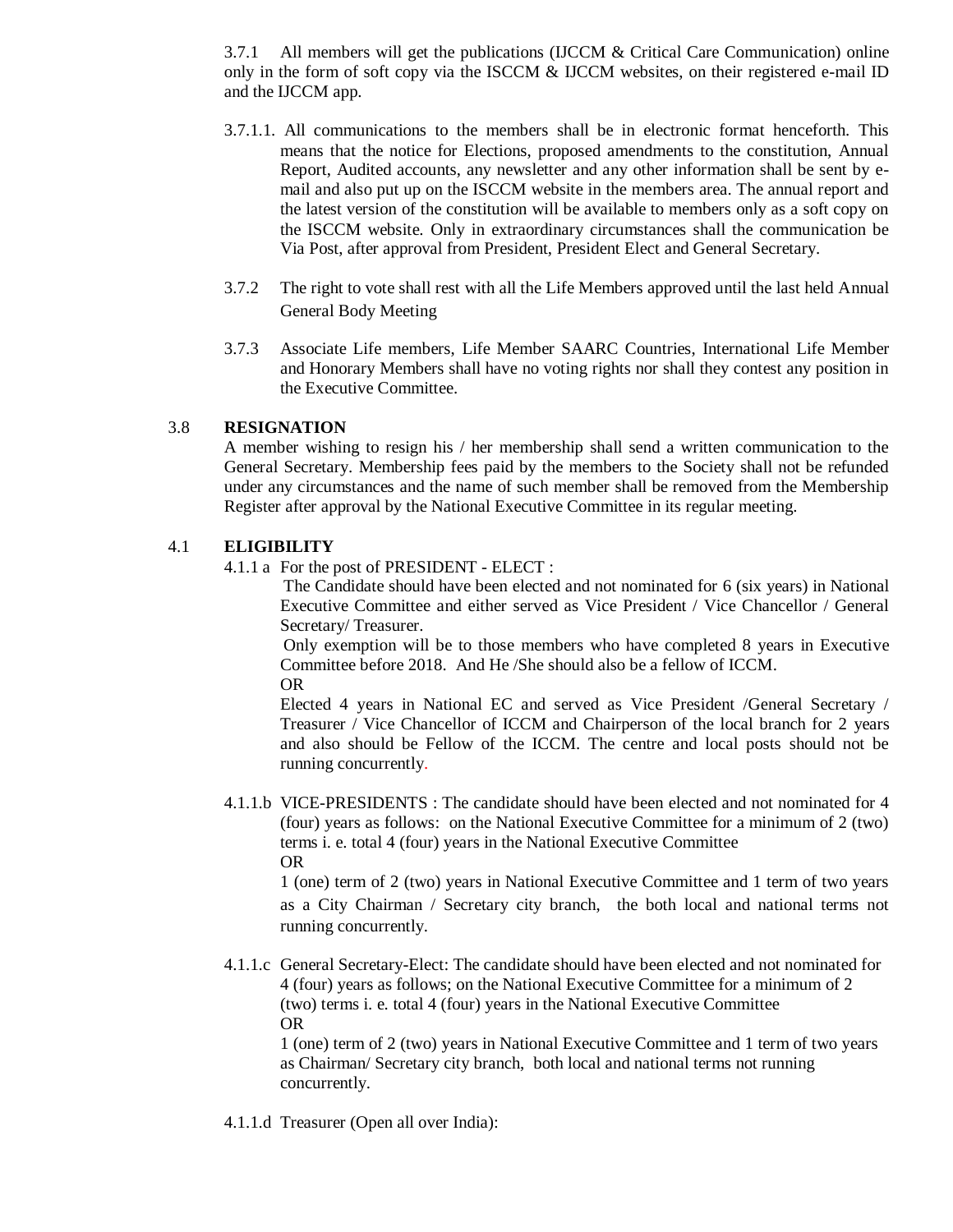3.7.1 All members will get the publications (IJCCM & Critical Care Communication) online only in the form of soft copy via the ISCCM  $&$  IJCCM websites, on their registered e-mail ID and the IJCCM app.

- 3.7.1.1. All communications to the members shall be in electronic format henceforth. This means that the notice for Elections, proposed amendments to the constitution, Annual Report, Audited accounts, any newsletter and any other information shall be sent by email and also put up on the ISCCM website in the members area. The annual report and the latest version of the constitution will be available to members only as a soft copy on the ISCCM website. Only in extraordinary circumstances shall the communication be Via Post, after approval from President, President Elect and General Secretary.
- 3.7.2 The right to vote shall rest with all the Life Members approved until the last held Annual General Body Meeting
- 3.7.3 Associate Life members, Life Member SAARC Countries, International Life Member and Honorary Members shall have no voting rights nor shall they contest any position in the Executive Committee.

## 3.8 **RESIGNATION**

A member wishing to resign his / her membership shall send a written communication to the General Secretary. Membership fees paid by the members to the Society shall not be refunded under any circumstances and the name of such member shall be removed from the Membership Register after approval by the National Executive Committee in its regular meeting.

## 4.1 **ELIGIBILITY**

4.1.1 a For the post of PRESIDENT - ELECT :

 The Candidate should have been elected and not nominated for 6 (six years) in National Executive Committee and either served as Vice President / Vice Chancellor / General Secretary/ Treasurer.

Only exemption will be to those members who have completed 8 years in Executive Committee before 2018. And He /She should also be a fellow of ICCM.

OR Elected 4 years in National EC and served as Vice President /General Secretary / Treasurer / Vice Chancellor of ICCM and Chairperson of the local branch for 2 years and also should be Fellow of the ICCM. The centre and local posts should not be running concurrently.

4.1.1.b VICE-PRESIDENTS : The candidate should have been elected and not nominated for 4 (four) years as follows: on the National Executive Committee for a minimum of 2 (two) terms i. e. total 4 (four) years in the National Executive Committee OR

1 (one) term of 2 (two) years in National Executive Committee and 1 term of two years as a City Chairman / Secretary city branch, the both local and national terms not running concurrently.

4.1.1.c General Secretary-Elect: The candidate should have been elected and not nominated for 4 (four) years as follows; on the National Executive Committee for a minimum of 2 (two) terms i. e. total 4 (four) years in the National Executive Committee OR

1 (one) term of 2 (two) years in National Executive Committee and 1 term of two years as Chairman/ Secretary city branch, both local and national terms not running concurrently.

4.1.1.d Treasurer (Open all over India):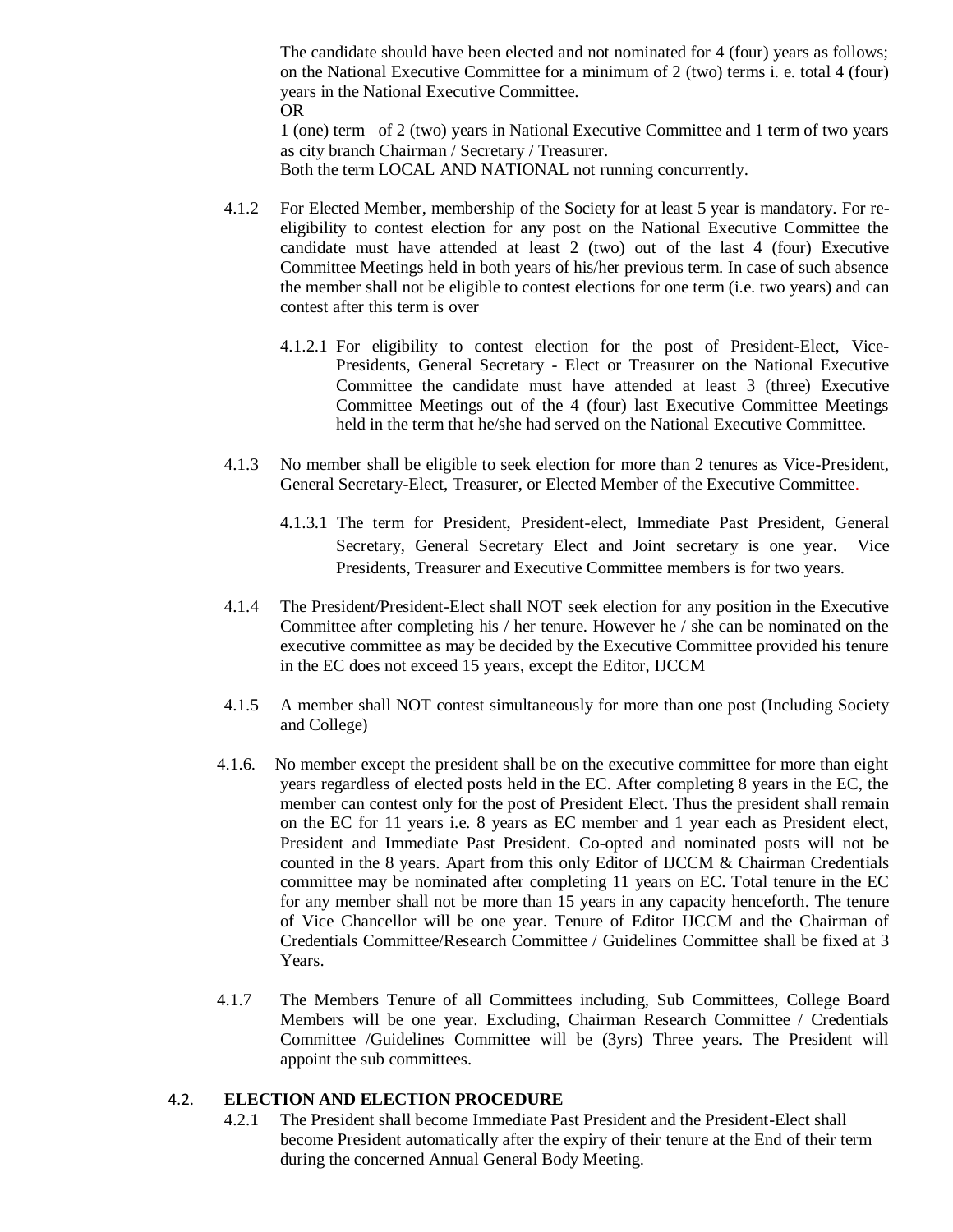The candidate should have been elected and not nominated for 4 (four) years as follows; on the National Executive Committee for a minimum of 2 (two) terms i. e. total 4 (four) years in the National Executive Committee. OR

1 (one) term of 2 (two) years in National Executive Committee and 1 term of two years as city branch Chairman / Secretary / Treasurer. Both the term LOCAL AND NATIONAL not running concurrently.

- 4.1.2 For Elected Member, membership of the Society for at least 5 year is mandatory. For reeligibility to contest election for any post on the National Executive Committee the candidate must have attended at least 2 (two) out of the last 4 (four) Executive Committee Meetings held in both years of his/her previous term. In case of such absence the member shall not be eligible to contest elections for one term (i.e. two years) and can contest after this term is over
	- 4.1.2.1 For eligibility to contest election for the post of President-Elect, Vice-Presidents, General Secretary - Elect or Treasurer on the National Executive Committee the candidate must have attended at least 3 (three) Executive Committee Meetings out of the 4 (four) last Executive Committee Meetings held in the term that he/she had served on the National Executive Committee.
- 4.1.3 No member shall be eligible to seek election for more than 2 tenures as Vice-President, General Secretary-Elect, Treasurer, or Elected Member of the Executive Committee.
	- 4.1.3.1 The term for President, President-elect, Immediate Past President, General Secretary, General Secretary Elect and Joint secretary is one year. Vice Presidents, Treasurer and Executive Committee members is for two years.
- 4.1.4 The President/President-Elect shall NOT seek election for any position in the Executive Committee after completing his / her tenure. However he / she can be nominated on the executive committee as may be decided by the Executive Committee provided his tenure in the EC does not exceed 15 years, except the Editor, IJCCM
- 4.1.5 A member shall NOT contest simultaneously for more than one post (Including Society and College)
- 4.1.6. No member except the president shall be on the executive committee for more than eight years regardless of elected posts held in the EC. After completing 8 years in the EC, the member can contest only for the post of President Elect. Thus the president shall remain on the EC for 11 years i.e. 8 years as EC member and 1 year each as President elect, President and Immediate Past President. Co-opted and nominated posts will not be counted in the 8 years. Apart from this only Editor of IJCCM & Chairman Credentials committee may be nominated after completing 11 years on EC. Total tenure in the EC for any member shall not be more than 15 years in any capacity henceforth. The tenure of Vice Chancellor will be one year. Tenure of Editor IJCCM and the Chairman of Credentials Committee/Research Committee / Guidelines Committee shall be fixed at 3 Years.
- 4.1.7 The Members Tenure of all Committees including, Sub Committees, College Board Members will be one year. Excluding, Chairman Research Committee / Credentials Committee /Guidelines Committee will be (3yrs) Three years. The President will appoint the sub committees.

### 4.2. **ELECTION AND ELECTION PROCEDURE**

4.2.1 The President shall become Immediate Past President and the President-Elect shall become President automatically after the expiry of their tenure at the End of their term during the concerned Annual General Body Meeting.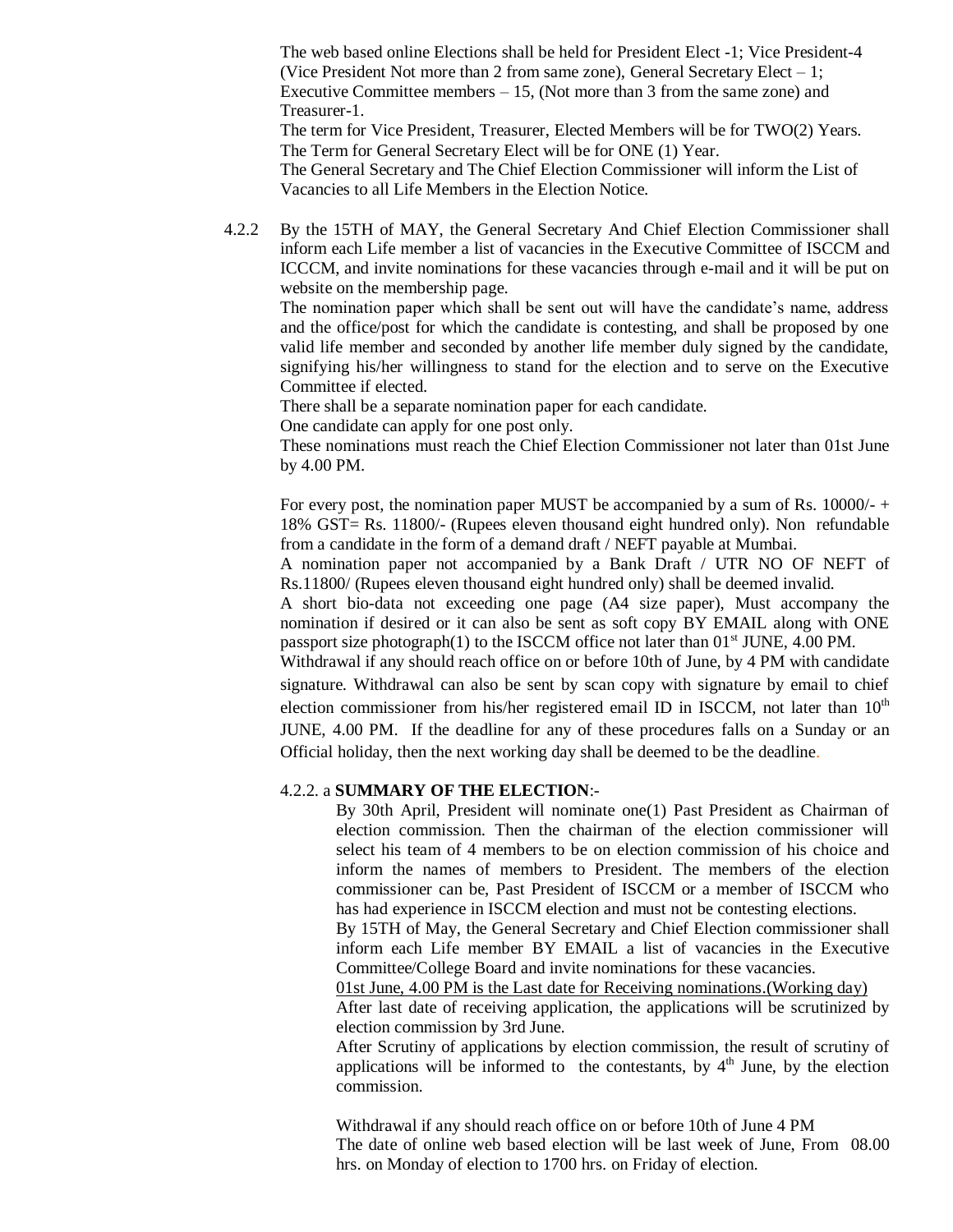The web based online Elections shall be held for President Elect -1; Vice President-4 (Vice President Not more than 2 from same zone), General Secretary Elect – 1; Executive Committee members  $-15$ , (Not more than 3 from the same zone) and Treasurer-1.

The term for Vice President, Treasurer, Elected Members will be for TWO(2) Years. The Term for General Secretary Elect will be for ONE (1) Year.

The General Secretary and The Chief Election Commissioner will inform the List of Vacancies to all Life Members in the Election Notice.

4.2.2 By the 15TH of MAY, the General Secretary And Chief Election Commissioner shall inform each Life member a list of vacancies in the Executive Committee of ISCCM and ICCCM, and invite nominations for these vacancies through e-mail and it will be put on website on the membership page.

The nomination paper which shall be sent out will have the candidate's name, address and the office/post for which the candidate is contesting, and shall be proposed by one valid life member and seconded by another life member duly signed by the candidate, signifying his/her willingness to stand for the election and to serve on the Executive Committee if elected.

There shall be a separate nomination paper for each candidate.

One candidate can apply for one post only.

These nominations must reach the Chief Election Commissioner not later than 01st June by 4.00 PM.

For every post, the nomination paper MUST be accompanied by a sum of Rs. 10000/- + 18% GST= Rs. 11800/- (Rupees eleven thousand eight hundred only). Non refundable from a candidate in the form of a demand draft / NEFT payable at Mumbai.

A nomination paper not accompanied by a Bank Draft / UTR NO OF NEFT of Rs.11800/ (Rupees eleven thousand eight hundred only) shall be deemed invalid.

A short bio-data not exceeding one page (A4 size paper), Must accompany the nomination if desired or it can also be sent as soft copy BY EMAIL along with ONE passport size photograph(1) to the ISCCM office not later than  $01<sup>st</sup>$  JUNE, 4.00 PM.

Withdrawal if any should reach office on or before 10th of June, by 4 PM with candidate signature. Withdrawal can also be sent by scan copy with signature by email to chief election commissioner from his/her registered email ID in ISCCM, not later than  $10<sup>th</sup>$ JUNE, 4.00 PM. If the deadline for any of these procedures falls on a Sunday or an Official holiday, then the next working day shall be deemed to be the deadline.

### 4.2.2. a **SUMMARY OF THE ELECTION**:-

By 30th April, President will nominate one(1) Past President as Chairman of election commission. Then the chairman of the election commissioner will select his team of 4 members to be on election commission of his choice and inform the names of members to President. The members of the election commissioner can be, Past President of ISCCM or a member of ISCCM who has had experience in ISCCM election and must not be contesting elections.

By 15TH of May, the General Secretary and Chief Election commissioner shall inform each Life member BY EMAIL a list of vacancies in the Executive Committee/College Board and invite nominations for these vacancies.

01st June, 4.00 PM is the Last date for Receiving nominations.(Working day)

After last date of receiving application, the applications will be scrutinized by election commission by 3rd June.

After Scrutiny of applications by election commission, the result of scrutiny of applications will be informed to the contestants, by  $4<sup>th</sup>$  June, by the election commission.

Withdrawal if any should reach office on or before 10th of June 4 PM The date of online web based election will be last week of June, From 08.00 hrs. on Monday of election to 1700 hrs. on Friday of election.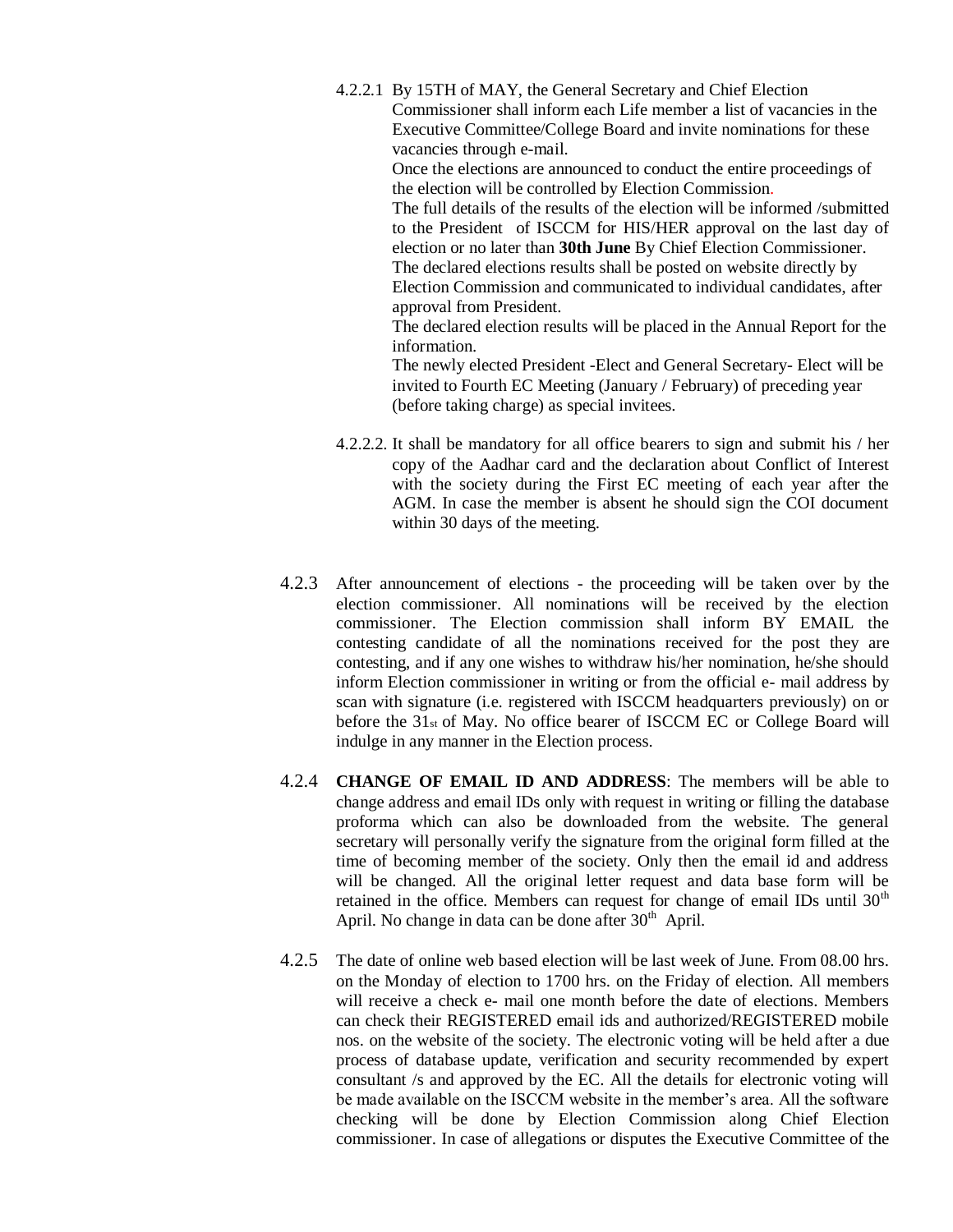- 4.2.2.1 By 15TH of MAY, the General Secretary and Chief Election Commissioner shall inform each Life member a list of vacancies in the Executive Committee/College Board and invite nominations for these vacancies through e-mail. Once the elections are announced to conduct the entire proceedings of the election will be controlled by Election Commission. The full details of the results of the election will be informed /submitted to the President of ISCCM for HIS/HER approval on the last day of election or no later than **30th June** By Chief Election Commissioner. The declared elections results shall be posted on website directly by Election Commission and communicated to individual candidates, after approval from President. The declared election results will be placed in the Annual Report for the information. The newly elected President -Elect and General Secretary- Elect will be invited to Fourth EC Meeting (January / February) of preceding year (before taking charge) as special invitees.
- 4.2.2.2. It shall be mandatory for all office bearers to sign and submit his / her copy of the Aadhar card and the declaration about Conflict of Interest with the society during the First EC meeting of each year after the AGM. In case the member is absent he should sign the COI document within 30 days of the meeting.
- 4.2.3 After announcement of elections the proceeding will be taken over by the election commissioner. All nominations will be received by the election commissioner. The Election commission shall inform BY EMAIL the contesting candidate of all the nominations received for the post they are contesting, and if any one wishes to withdraw his/her nomination, he/she should inform Election commissioner in writing or from the official e- mail address by scan with signature (i.e. registered with ISCCM headquarters previously) on or before the  $31_{st}$  of May. No office bearer of ISCCM EC or College Board will indulge in any manner in the Election process.
- 4.2.4 **CHANGE OF EMAIL ID AND ADDRESS**: The members will be able to change address and email IDs only with request in writing or filling the database proforma which can also be downloaded from the website. The general secretary will personally verify the signature from the original form filled at the time of becoming member of the society. Only then the email id and address will be changed. All the original letter request and data base form will be retained in the office. Members can request for change of email IDs until  $30<sup>th</sup>$ April. No change in data can be done after  $30<sup>th</sup>$  April.
- 4.2.5 The date of online web based election will be last week of June. From 08.00 hrs. on the Monday of election to 1700 hrs. on the Friday of election. All members will receive a check e- mail one month before the date of elections. Members can check their REGISTERED email ids and authorized/REGISTERED mobile nos. on the website of the society. The electronic voting will be held after a due process of database update, verification and security recommended by expert consultant /s and approved by the EC. All the details for electronic voting will be made available on the ISCCM website in the member's area. All the software checking will be done by Election Commission along Chief Election commissioner. In case of allegations or disputes the Executive Committee of the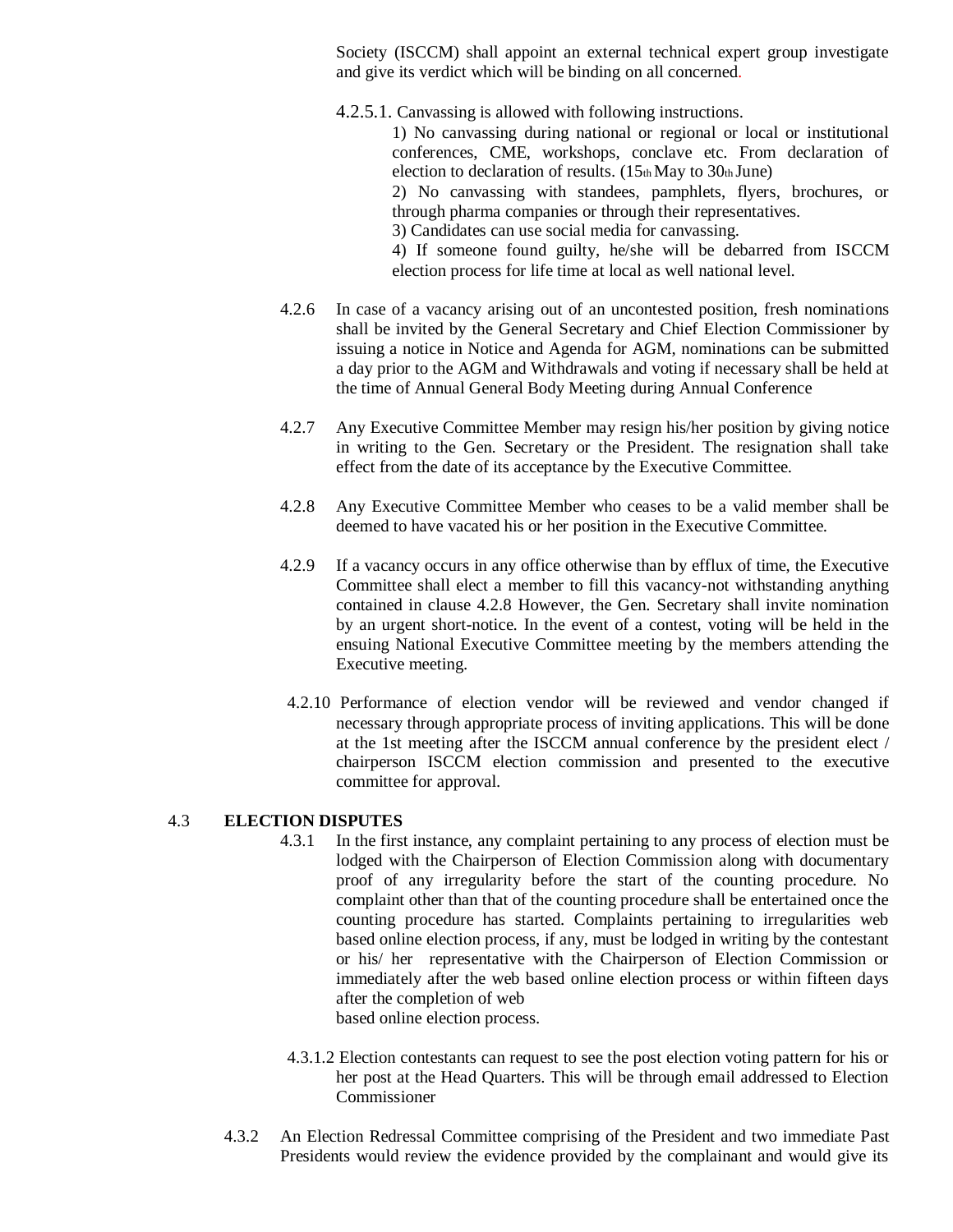Society (ISCCM) shall appoint an external technical expert group investigate and give its verdict which will be binding on all concerned.

4.2.5.1. Canvassing is allowed with following instructions.

1) No canvassing during national or regional or local or institutional conferences, CME, workshops, conclave etc. From declaration of election to declaration of results.  $(15<sub>th</sub>$ May to  $30<sub>th</sub>$ June) 2) No canvassing with standees, pamphlets, flyers, brochures, or through pharma companies or through their representatives. 3) Candidates can use social media for canvassing.

4) If someone found guilty, he/she will be debarred from ISCCM election process for life time at local as well national level.

- 4.2.6 In case of a vacancy arising out of an uncontested position, fresh nominations shall be invited by the General Secretary and Chief Election Commissioner by issuing a notice in Notice and Agenda for AGM, nominations can be submitted a day prior to the AGM and Withdrawals and voting if necessary shall be held at the time of Annual General Body Meeting during Annual Conference
- 4.2.7 Any Executive Committee Member may resign his/her position by giving notice in writing to the Gen. Secretary or the President. The resignation shall take effect from the date of its acceptance by the Executive Committee.
- 4.2.8 Any Executive Committee Member who ceases to be a valid member shall be deemed to have vacated his or her position in the Executive Committee.
- 4.2.9 If a vacancy occurs in any office otherwise than by efflux of time, the Executive Committee shall elect a member to fill this vacancy-not withstanding anything contained in clause 4.2.8 However, the Gen. Secretary shall invite nomination by an urgent short-notice. In the event of a contest, voting will be held in the ensuing National Executive Committee meeting by the members attending the Executive meeting.
- 4.2.10 Performance of election vendor will be reviewed and vendor changed if necessary through appropriate process of inviting applications. This will be done at the 1st meeting after the ISCCM annual conference by the president elect / chairperson ISCCM election commission and presented to the executive committee for approval.

### 4.3 **ELECTION DISPUTES**

- 4.3.1 In the first instance, any complaint pertaining to any process of election must be lodged with the Chairperson of Election Commission along with documentary proof of any irregularity before the start of the counting procedure. No complaint other than that of the counting procedure shall be entertained once the counting procedure has started. Complaints pertaining to irregularities web based online election process, if any, must be lodged in writing by the contestant or his/ her representative with the Chairperson of Election Commission or immediately after the web based online election process or within fifteen days after the completion of web based online election process.
- 4.3.1.2 Election contestants can request to see the post election voting pattern for his or her post at the Head Quarters. This will be through email addressed to Election Commissioner
- 4.3.2 An Election Redressal Committee comprising of the President and two immediate Past Presidents would review the evidence provided by the complainant and would give its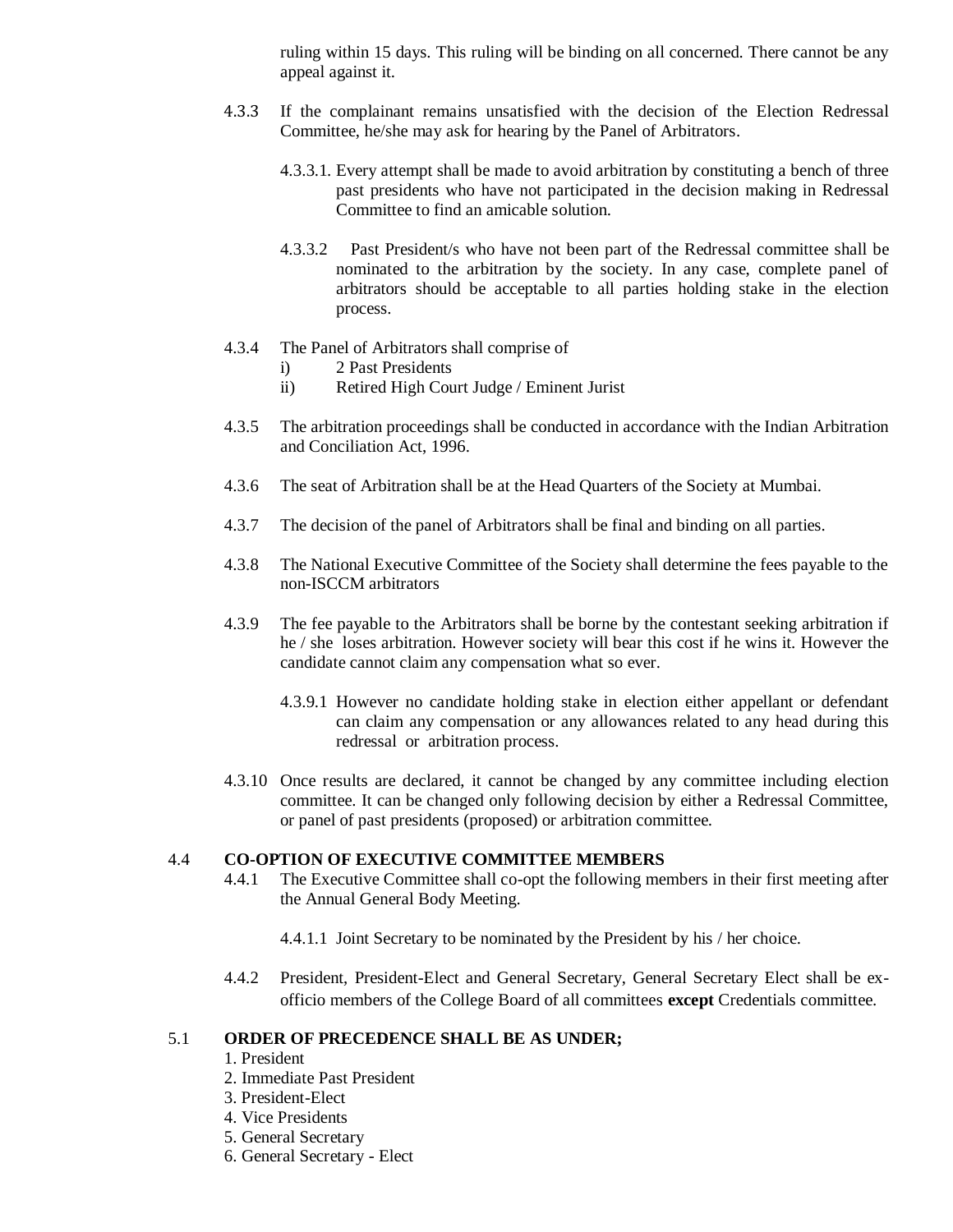ruling within 15 days. This ruling will be binding on all concerned. There cannot be any appeal against it.

- 4.3.3 If the complainant remains unsatisfied with the decision of the Election Redressal Committee, he/she may ask for hearing by the Panel of Arbitrators.
	- 4.3.3.1. Every attempt shall be made to avoid arbitration by constituting a bench of three past presidents who have not participated in the decision making in Redressal Committee to find an amicable solution.
	- 4.3.3.2 Past President/s who have not been part of the Redressal committee shall be nominated to the arbitration by the society. In any case, complete panel of arbitrators should be acceptable to all parties holding stake in the election process.
- 4.3.4 The Panel of Arbitrators shall comprise of
	- i) 2 Past Presidents
	- ii) Retired High Court Judge / Eminent Jurist
- 4.3.5 The arbitration proceedings shall be conducted in accordance with the Indian Arbitration and Conciliation Act, 1996.
- 4.3.6 The seat of Arbitration shall be at the Head Quarters of the Society at Mumbai.
- 4.3.7 The decision of the panel of Arbitrators shall be final and binding on all parties.
- 4.3.8 The National Executive Committee of the Society shall determine the fees payable to the non-ISCCM arbitrators
- 4.3.9 The fee payable to the Arbitrators shall be borne by the contestant seeking arbitration if he / she loses arbitration. However society will bear this cost if he wins it. However the candidate cannot claim any compensation what so ever.
	- 4.3.9.1 However no candidate holding stake in election either appellant or defendant can claim any compensation or any allowances related to any head during this redressal or arbitration process.
- 4.3.10 Once results are declared, it cannot be changed by any committee including election committee. It can be changed only following decision by either a Redressal Committee, or panel of past presidents (proposed) or arbitration committee.

### 4.4 **CO-OPTION OF EXECUTIVE COMMITTEE MEMBERS**

- 4.4.1 The Executive Committee shall co-opt the following members in their first meeting after the Annual General Body Meeting.
	- 4.4.1.1 Joint Secretary to be nominated by the President by his / her choice.
- 4.4.2 President, President-Elect and General Secretary, General Secretary Elect shall be exofficio members of the College Board of all committees **except** Credentials committee.

### 5.1 **ORDER OF PRECEDENCE SHALL BE AS UNDER;**

- 1. President
- 2. Immediate Past President
- 3. President-Elect
- 4. Vice Presidents
- 5. General Secretary
- 6. General Secretary Elect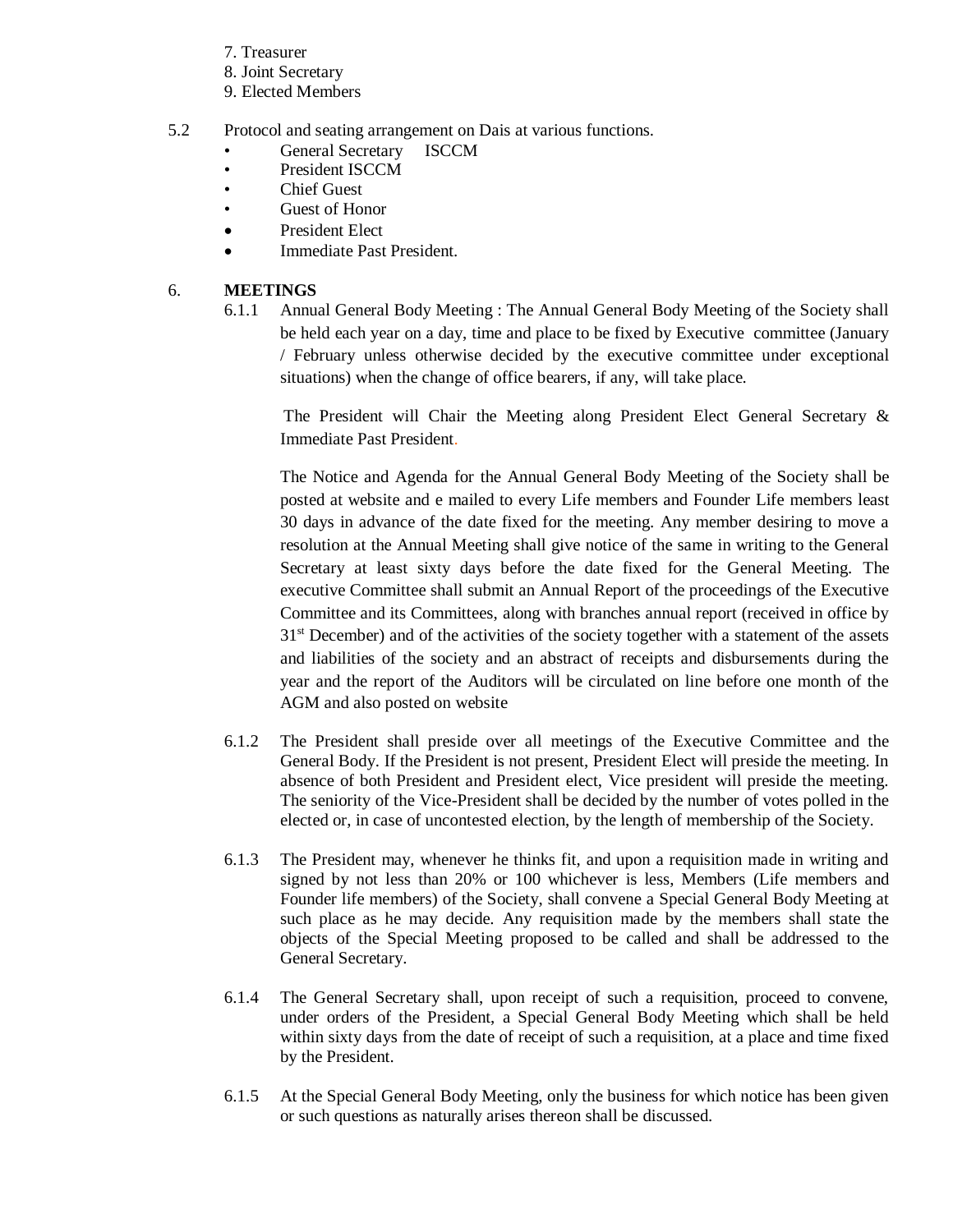- 7. Treasurer
- 8. Joint Secretary
- 9. Elected Members
- 5.2 Protocol and seating arrangement on Dais at various functions.
	- General Secretary ISCCM
	- President ISCCM
	- **Chief Guest**
	- Guest of Honor
	- President Elect
	- Immediate Past President.

## 6. **MEETINGS**

6.1.1 Annual General Body Meeting : The Annual General Body Meeting of the Society shall be held each year on a day, time and place to be fixed by Executive committee (January / February unless otherwise decided by the executive committee under exceptional situations) when the change of office bearers, if any, will take place.

The President will Chair the Meeting along President Elect General Secretary & Immediate Past President.

The Notice and Agenda for the Annual General Body Meeting of the Society shall be posted at website and e mailed to every Life members and Founder Life members least 30 days in advance of the date fixed for the meeting. Any member desiring to move a resolution at the Annual Meeting shall give notice of the same in writing to the General Secretary at least sixty days before the date fixed for the General Meeting. The executive Committee shall submit an Annual Report of the proceedings of the Executive Committee and its Committees, along with branches annual report (received in office by 31<sup>st</sup> December) and of the activities of the society together with a statement of the assets and liabilities of the society and an abstract of receipts and disbursements during the year and the report of the Auditors will be circulated on line before one month of the AGM and also posted on website

- 6.1.2 The President shall preside over all meetings of the Executive Committee and the General Body. If the President is not present, President Elect will preside the meeting. In absence of both President and President elect, Vice president will preside the meeting. The seniority of the Vice-President shall be decided by the number of votes polled in the elected or, in case of uncontested election, by the length of membership of the Society.
- 6.1.3 The President may, whenever he thinks fit, and upon a requisition made in writing and signed by not less than 20% or 100 whichever is less, Members (Life members and Founder life members) of the Society, shall convene a Special General Body Meeting at such place as he may decide. Any requisition made by the members shall state the objects of the Special Meeting proposed to be called and shall be addressed to the General Secretary.
- 6.1.4 The General Secretary shall, upon receipt of such a requisition, proceed to convene, under orders of the President, a Special General Body Meeting which shall be held within sixty days from the date of receipt of such a requisition, at a place and time fixed by the President.
- 6.1.5 At the Special General Body Meeting, only the business for which notice has been given or such questions as naturally arises thereon shall be discussed.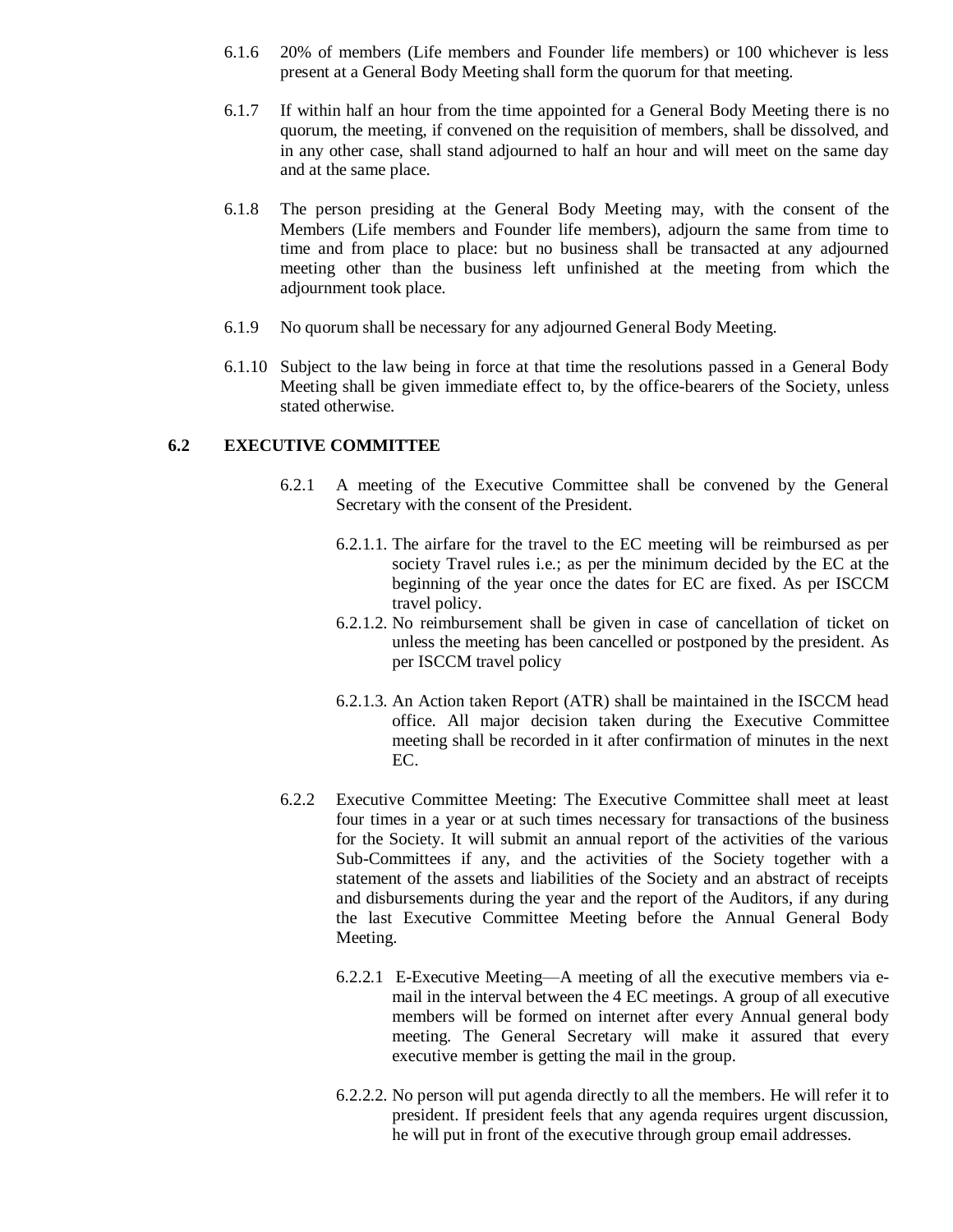- 6.1.6 20% of members (Life members and Founder life members) or 100 whichever is less present at a General Body Meeting shall form the quorum for that meeting.
- 6.1.7 If within half an hour from the time appointed for a General Body Meeting there is no quorum, the meeting, if convened on the requisition of members, shall be dissolved, and in any other case, shall stand adjourned to half an hour and will meet on the same day and at the same place.
- 6.1.8 The person presiding at the General Body Meeting may, with the consent of the Members (Life members and Founder life members), adjourn the same from time to time and from place to place: but no business shall be transacted at any adjourned meeting other than the business left unfinished at the meeting from which the adjournment took place.
- 6.1.9 No quorum shall be necessary for any adjourned General Body Meeting.
- 6.1.10 Subject to the law being in force at that time the resolutions passed in a General Body Meeting shall be given immediate effect to, by the office-bearers of the Society, unless stated otherwise.

### **6.2 EXECUTIVE COMMITTEE**

- 6.2.1 A meeting of the Executive Committee shall be convened by the General Secretary with the consent of the President.
	- 6.2.1.1. The airfare for the travel to the EC meeting will be reimbursed as per society Travel rules i.e.; as per the minimum decided by the EC at the beginning of the year once the dates for EC are fixed. As per ISCCM travel policy.
	- 6.2.1.2. No reimbursement shall be given in case of cancellation of ticket on unless the meeting has been cancelled or postponed by the president. As per ISCCM travel policy
	- 6.2.1.3. An Action taken Report (ATR) shall be maintained in the ISCCM head office. All major decision taken during the Executive Committee meeting shall be recorded in it after confirmation of minutes in the next EC.
- 6.2.2 Executive Committee Meeting: The Executive Committee shall meet at least four times in a year or at such times necessary for transactions of the business for the Society. It will submit an annual report of the activities of the various Sub-Committees if any, and the activities of the Society together with a statement of the assets and liabilities of the Society and an abstract of receipts and disbursements during the year and the report of the Auditors, if any during the last Executive Committee Meeting before the Annual General Body Meeting.
	- 6.2.2.1 E-Executive Meeting—A meeting of all the executive members via email in the interval between the 4 EC meetings. A group of all executive members will be formed on internet after every Annual general body meeting. The General Secretary will make it assured that every executive member is getting the mail in the group.
	- 6.2.2.2. No person will put agenda directly to all the members. He will refer it to president. If president feels that any agenda requires urgent discussion, he will put in front of the executive through group email addresses.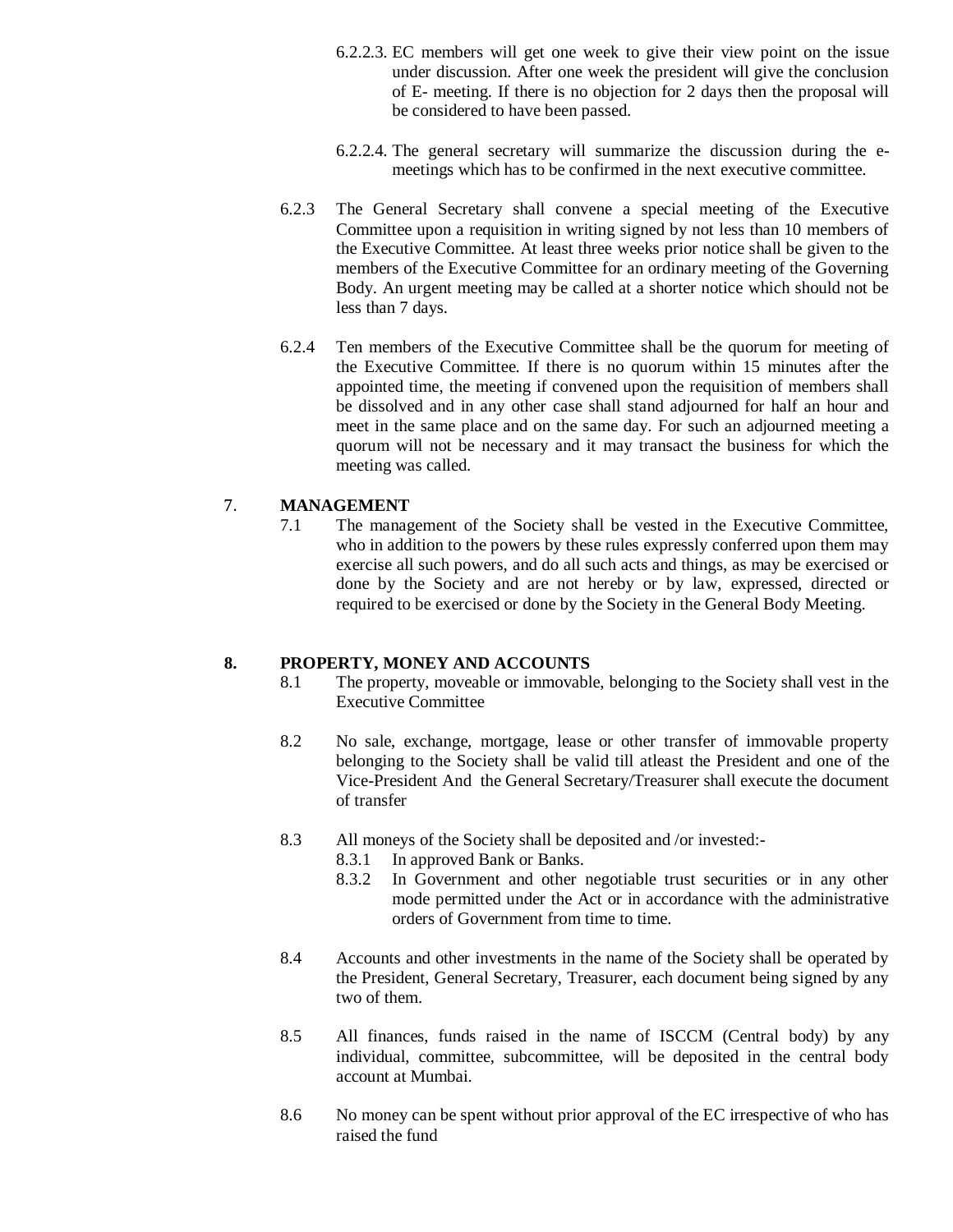- 6.2.2.3. EC members will get one week to give their view point on the issue under discussion. After one week the president will give the conclusion of E- meeting. If there is no objection for 2 days then the proposal will be considered to have been passed.
- 6.2.2.4. The general secretary will summarize the discussion during the emeetings which has to be confirmed in the next executive committee.
- 6.2.3 The General Secretary shall convene a special meeting of the Executive Committee upon a requisition in writing signed by not less than 10 members of the Executive Committee. At least three weeks prior notice shall be given to the members of the Executive Committee for an ordinary meeting of the Governing Body. An urgent meeting may be called at a shorter notice which should not be less than 7 days.
- 6.2.4 Ten members of the Executive Committee shall be the quorum for meeting of the Executive Committee. If there is no quorum within 15 minutes after the appointed time, the meeting if convened upon the requisition of members shall be dissolved and in any other case shall stand adjourned for half an hour and meet in the same place and on the same day. For such an adjourned meeting a quorum will not be necessary and it may transact the business for which the meeting was called.

## 7. **MANAGEMENT**

7.1 The management of the Society shall be vested in the Executive Committee, who in addition to the powers by these rules expressly conferred upon them may exercise all such powers, and do all such acts and things, as may be exercised or done by the Society and are not hereby or by law, expressed, directed or required to be exercised or done by the Society in the General Body Meeting.

## **8. PROPERTY, MONEY AND ACCOUNTS**

- 8.1 The property, moveable or immovable, belonging to the Society shall vest in the Executive Committee
- 8.2 No sale, exchange, mortgage, lease or other transfer of immovable property belonging to the Society shall be valid till atleast the President and one of the Vice-President And the General Secretary/Treasurer shall execute the document of transfer
- 8.3 All moneys of the Society shall be deposited and /or invested:-
	- 8.3.1 In approved Bank or Banks.
	- 8.3.2 In Government and other negotiable trust securities or in any other mode permitted under the Act or in accordance with the administrative orders of Government from time to time.
- 8.4 Accounts and other investments in the name of the Society shall be operated by the President, General Secretary, Treasurer, each document being signed by any two of them.
- 8.5 All finances, funds raised in the name of ISCCM (Central body) by any individual, committee, subcommittee, will be deposited in the central body account at Mumbai.
- 8.6 No money can be spent without prior approval of the EC irrespective of who has raised the fund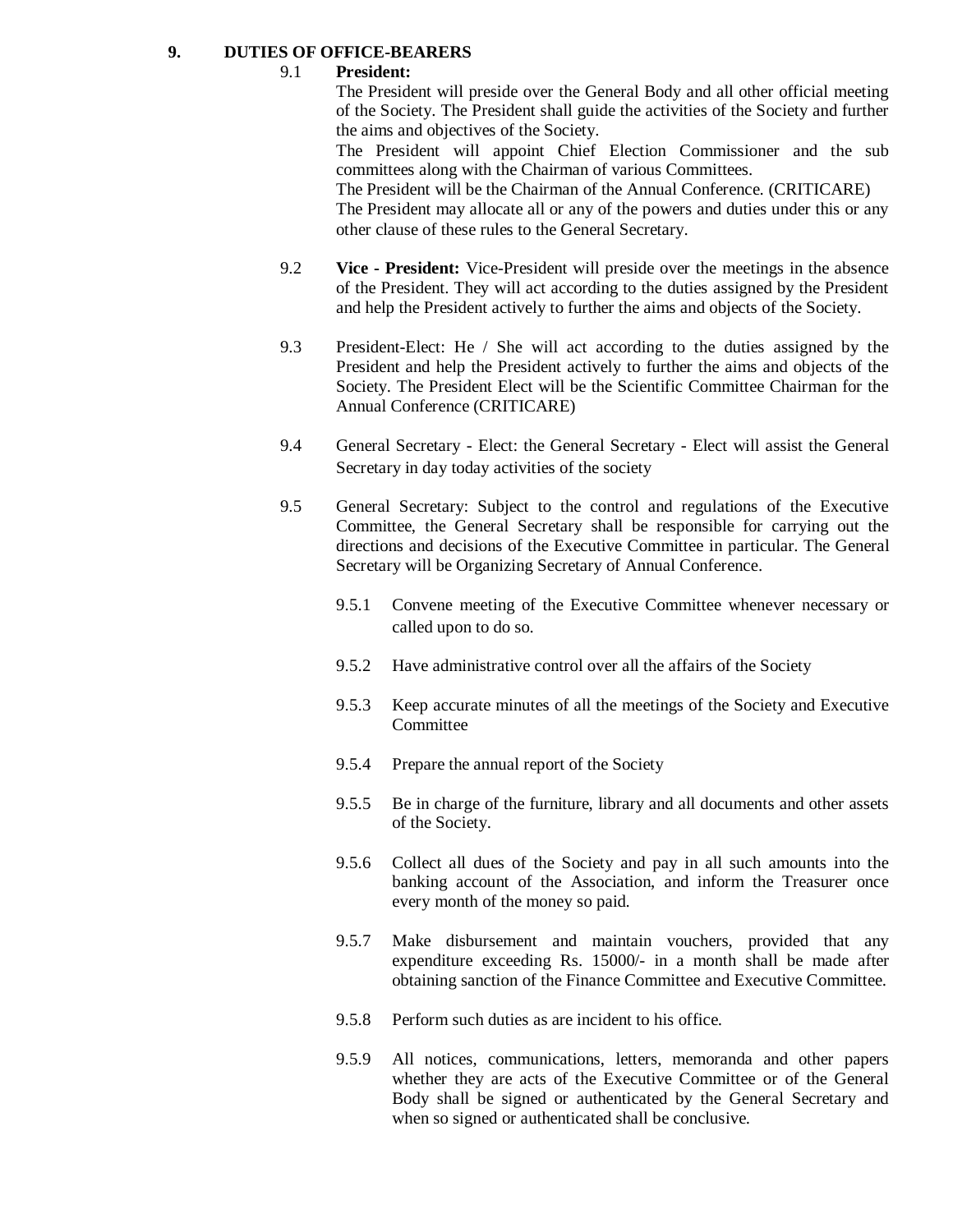## **9. DUTIES OF OFFICE-BEARERS**

## 9.1 **President:**

The President will preside over the General Body and all other official meeting of the Society. The President shall guide the activities of the Society and further the aims and objectives of the Society.

The President will appoint Chief Election Commissioner and the sub committees along with the Chairman of various Committees.

The President will be the Chairman of the Annual Conference. (CRITICARE) The President may allocate all or any of the powers and duties under this or any other clause of these rules to the General Secretary.

- 9.2 **Vice - President:** Vice-President will preside over the meetings in the absence of the President. They will act according to the duties assigned by the President and help the President actively to further the aims and objects of the Society.
- 9.3 President-Elect: He / She will act according to the duties assigned by the President and help the President actively to further the aims and objects of the Society. The President Elect will be the Scientific Committee Chairman for the Annual Conference (CRITICARE)
- 9.4 General Secretary Elect: the General Secretary Elect will assist the General Secretary in day today activities of the society
- 9.5 General Secretary: Subject to the control and regulations of the Executive Committee, the General Secretary shall be responsible for carrying out the directions and decisions of the Executive Committee in particular. The General Secretary will be Organizing Secretary of Annual Conference.
	- 9.5.1 Convene meeting of the Executive Committee whenever necessary or called upon to do so.
	- 9.5.2 Have administrative control over all the affairs of the Society
	- 9.5.3 Keep accurate minutes of all the meetings of the Society and Executive **Committee**
	- 9.5.4 Prepare the annual report of the Society
	- 9.5.5 Be in charge of the furniture, library and all documents and other assets of the Society.
	- 9.5.6 Collect all dues of the Society and pay in all such amounts into the banking account of the Association, and inform the Treasurer once every month of the money so paid.
	- 9.5.7 Make disbursement and maintain vouchers, provided that any expenditure exceeding Rs. 15000/- in a month shall be made after obtaining sanction of the Finance Committee and Executive Committee.
	- 9.5.8 Perform such duties as are incident to his office.
	- 9.5.9 All notices, communications, letters, memoranda and other papers whether they are acts of the Executive Committee or of the General Body shall be signed or authenticated by the General Secretary and when so signed or authenticated shall be conclusive.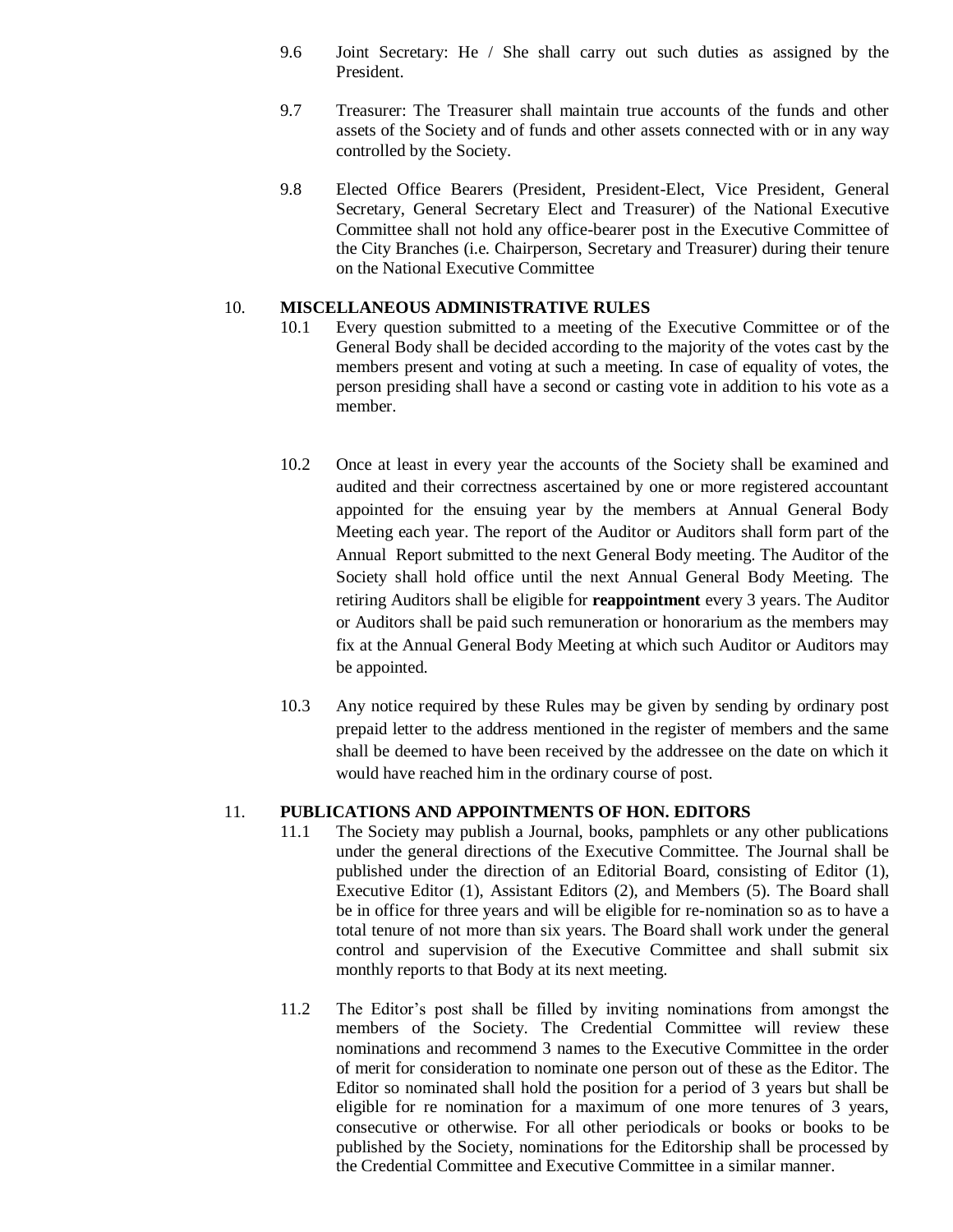- 9.6 Joint Secretary: He / She shall carry out such duties as assigned by the President.
- 9.7 Treasurer: The Treasurer shall maintain true accounts of the funds and other assets of the Society and of funds and other assets connected with or in any way controlled by the Society.
- 9.8 Elected Office Bearers (President, President-Elect, Vice President, General Secretary, General Secretary Elect and Treasurer) of the National Executive Committee shall not hold any office-bearer post in the Executive Committee of the City Branches (i.e. Chairperson, Secretary and Treasurer) during their tenure on the National Executive Committee

## 10. **MISCELLANEOUS ADMINISTRATIVE RULES**

- 10.1 Every question submitted to a meeting of the Executive Committee or of the General Body shall be decided according to the majority of the votes cast by the members present and voting at such a meeting. In case of equality of votes, the person presiding shall have a second or casting vote in addition to his vote as a member.
- 10.2 Once at least in every year the accounts of the Society shall be examined and audited and their correctness ascertained by one or more registered accountant appointed for the ensuing year by the members at Annual General Body Meeting each year. The report of the Auditor or Auditors shall form part of the Annual Report submitted to the next General Body meeting. The Auditor of the Society shall hold office until the next Annual General Body Meeting. The retiring Auditors shall be eligible for **reappointment** every 3 years. The Auditor or Auditors shall be paid such remuneration or honorarium as the members may fix at the Annual General Body Meeting at which such Auditor or Auditors may be appointed.
- 10.3 Any notice required by these Rules may be given by sending by ordinary post prepaid letter to the address mentioned in the register of members and the same shall be deemed to have been received by the addressee on the date on which it would have reached him in the ordinary course of post.

### 11. **PUBLICATIONS AND APPOINTMENTS OF HON. EDITORS**

- 11.1 The Society may publish a Journal, books, pamphlets or any other publications under the general directions of the Executive Committee. The Journal shall be published under the direction of an Editorial Board, consisting of Editor (1), Executive Editor (1), Assistant Editors (2), and Members (5). The Board shall be in office for three years and will be eligible for re-nomination so as to have a total tenure of not more than six years. The Board shall work under the general control and supervision of the Executive Committee and shall submit six monthly reports to that Body at its next meeting.
- 11.2 The Editor's post shall be filled by inviting nominations from amongst the members of the Society. The Credential Committee will review these nominations and recommend 3 names to the Executive Committee in the order of merit for consideration to nominate one person out of these as the Editor. The Editor so nominated shall hold the position for a period of 3 years but shall be eligible for re nomination for a maximum of one more tenures of 3 years, consecutive or otherwise. For all other periodicals or books or books to be published by the Society, nominations for the Editorship shall be processed by the Credential Committee and Executive Committee in a similar manner.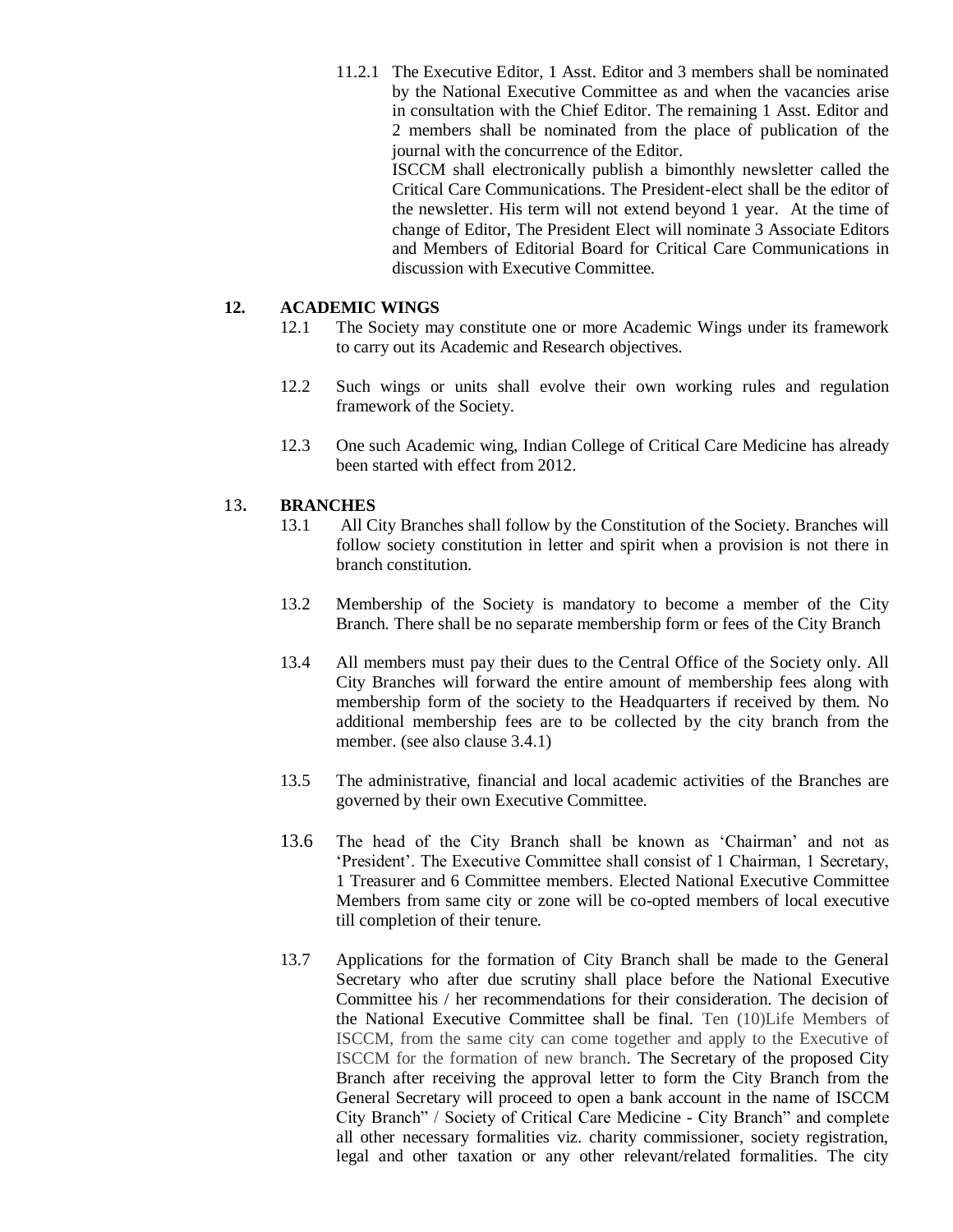11.2.1 The Executive Editor, 1 Asst. Editor and 3 members shall be nominated by the National Executive Committee as and when the vacancies arise in consultation with the Chief Editor. The remaining 1 Asst. Editor and 2 members shall be nominated from the place of publication of the journal with the concurrence of the Editor. ISCCM shall electronically publish a bimonthly newsletter called the Critical Care Communications. The President-elect shall be the editor of

the newsletter. His term will not extend beyond 1 year. At the time of change of Editor, The President Elect will nominate 3 Associate Editors and Members of Editorial Board for Critical Care Communications in discussion with Executive Committee.

### **12. ACADEMIC WINGS**

- 12.1 The Society may constitute one or more Academic Wings under its framework to carry out its Academic and Research objectives.
- 12.2 Such wings or units shall evolve their own working rules and regulation framework of the Society.
- 12.3 One such Academic wing, Indian College of Critical Care Medicine has already been started with effect from 2012.

### 13**. BRANCHES**

- 13.1 All City Branches shall follow by the Constitution of the Society. Branches will follow society constitution in letter and spirit when a provision is not there in branch constitution.
- 13.2 Membership of the Society is mandatory to become a member of the City Branch. There shall be no separate membership form or fees of the City Branch
- 13.4 All members must pay their dues to the Central Office of the Society only. All City Branches will forward the entire amount of membership fees along with membership form of the society to the Headquarters if received by them. No additional membership fees are to be collected by the city branch from the member. (see also clause 3.4.1)
- 13.5 The administrative, financial and local academic activities of the Branches are governed by their own Executive Committee.
- 13.6 The head of the City Branch shall be known as 'Chairman' and not as 'President'. The Executive Committee shall consist of 1 Chairman, 1 Secretary, 1 Treasurer and 6 Committee members. Elected National Executive Committee Members from same city or zone will be co-opted members of local executive till completion of their tenure.
- 13.7 Applications for the formation of City Branch shall be made to the General Secretary who after due scrutiny shall place before the National Executive Committee his / her recommendations for their consideration. The decision of the National Executive Committee shall be final. Ten (10)Life Members of ISCCM, from the same city can come together and apply to the Executive of ISCCM for the formation of new branch. The Secretary of the proposed City Branch after receiving the approval letter to form the City Branch from the General Secretary will proceed to open a bank account in the name of ISCCM City Branch" / Society of Critical Care Medicine - City Branch" and complete all other necessary formalities viz. charity commissioner, society registration, legal and other taxation or any other relevant/related formalities. The city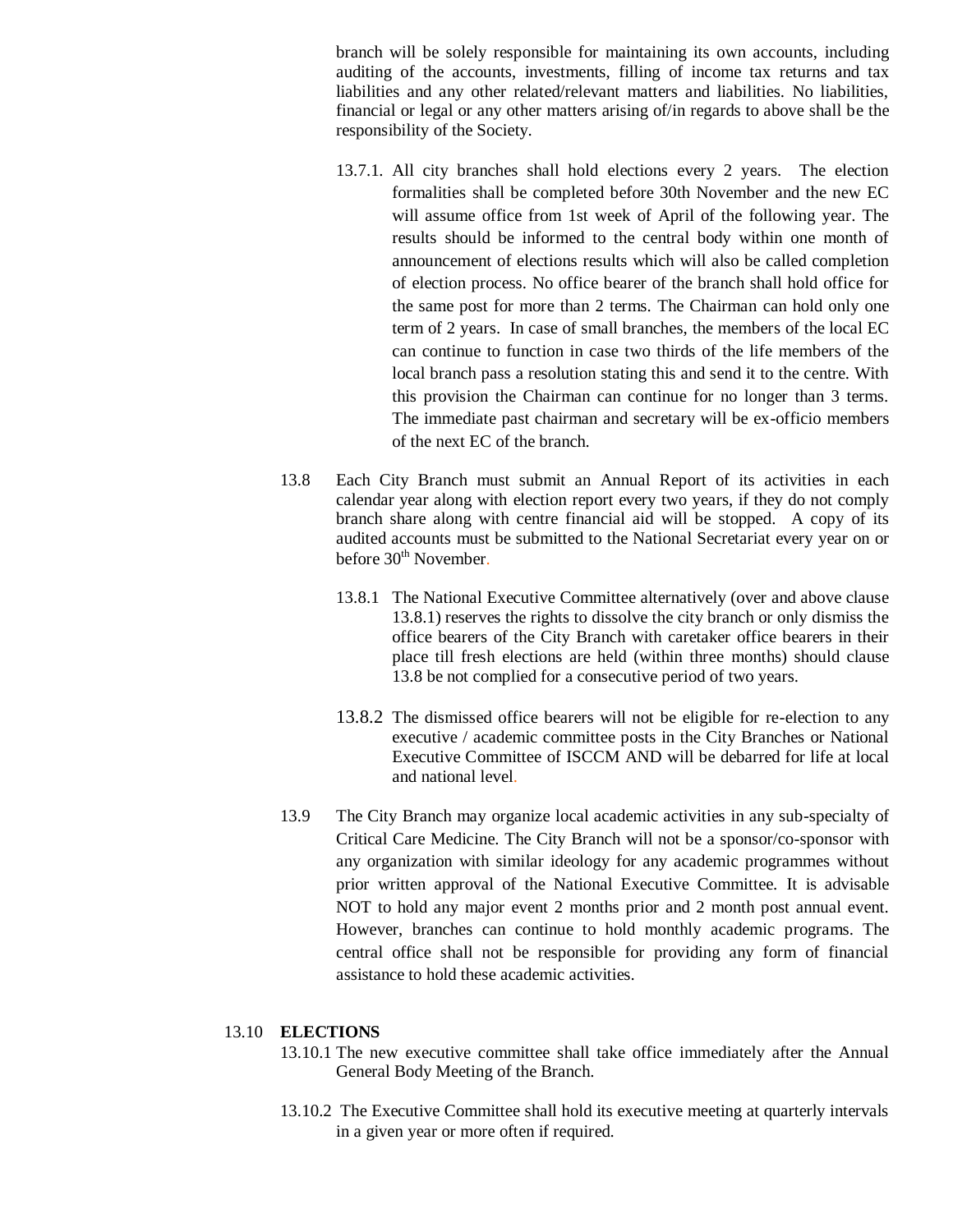branch will be solely responsible for maintaining its own accounts, including auditing of the accounts, investments, filling of income tax returns and tax liabilities and any other related/relevant matters and liabilities. No liabilities, financial or legal or any other matters arising of/in regards to above shall be the responsibility of the Society.

- 13.7.1. All city branches shall hold elections every 2 years. The election formalities shall be completed before 30th November and the new EC will assume office from 1st week of April of the following year. The results should be informed to the central body within one month of announcement of elections results which will also be called completion of election process. No office bearer of the branch shall hold office for the same post for more than 2 terms. The Chairman can hold only one term of 2 years. In case of small branches, the members of the local EC can continue to function in case two thirds of the life members of the local branch pass a resolution stating this and send it to the centre. With this provision the Chairman can continue for no longer than 3 terms. The immediate past chairman and secretary will be ex-officio members of the next EC of the branch.
- 13.8 Each City Branch must submit an Annual Report of its activities in each calendar year along with election report every two years, if they do not comply branch share along with centre financial aid will be stopped. A copy of its audited accounts must be submitted to the National Secretariat every year on or before 30<sup>th</sup> November.
	- 13.8.1 The National Executive Committee alternatively (over and above clause 13.8.1) reserves the rights to dissolve the city branch or only dismiss the office bearers of the City Branch with caretaker office bearers in their place till fresh elections are held (within three months) should clause 13.8 be not complied for a consecutive period of two years.
	- 13.8.2 The dismissed office bearers will not be eligible for re-election to any executive / academic committee posts in the City Branches or National Executive Committee of ISCCM AND will be debarred for life at local and national level.
- 13.9 The City Branch may organize local academic activities in any sub-specialty of Critical Care Medicine. The City Branch will not be a sponsor/co-sponsor with any organization with similar ideology for any academic programmes without prior written approval of the National Executive Committee. It is advisable NOT to hold any major event 2 months prior and 2 month post annual event. However, branches can continue to hold monthly academic programs. The central office shall not be responsible for providing any form of financial assistance to hold these academic activities.

#### 13.10 **ELECTIONS**

- 13.10.1 The new executive committee shall take office immediately after the Annual General Body Meeting of the Branch.
- 13.10.2 The Executive Committee shall hold its executive meeting at quarterly intervals in a given year or more often if required.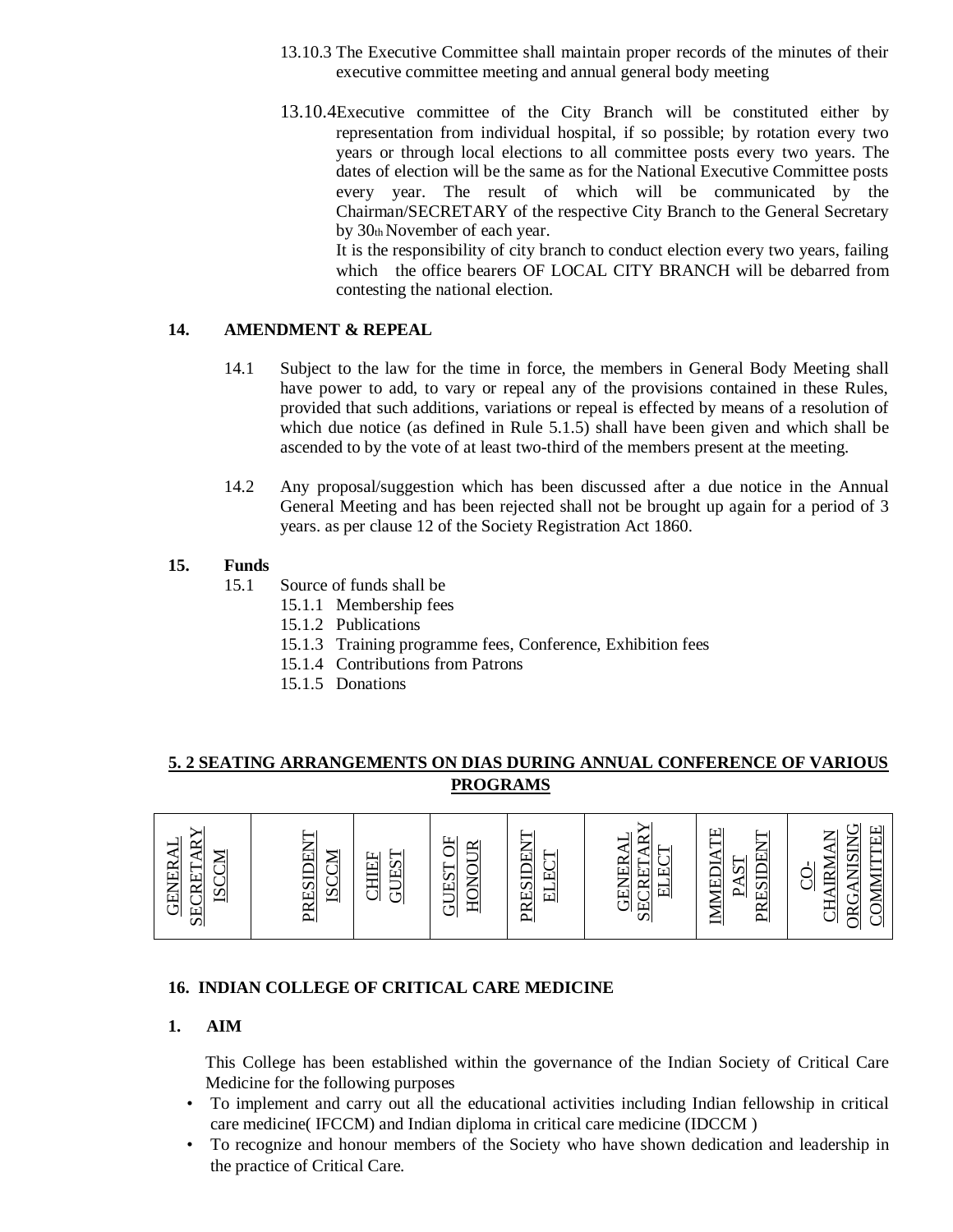- 13.10.3 The Executive Committee shall maintain proper records of the minutes of their executive committee meeting and annual general body meeting
- 13.10.4Executive committee of the City Branch will be constituted either by representation from individual hospital, if so possible; by rotation every two years or through local elections to all committee posts every two years. The dates of election will be the same as for the National Executive Committee posts every year. The result of which will be communicated by the Chairman/SECRETARY of the respective City Branch to the General Secretary by 30th November of each year.

It is the responsibility of city branch to conduct election every two years, failing which the office bearers OF LOCAL CITY BRANCH will be debarred from contesting the national election.

## **14. AMENDMENT & REPEAL**

- 14.1 Subject to the law for the time in force, the members in General Body Meeting shall have power to add, to vary or repeal any of the provisions contained in these Rules, provided that such additions, variations or repeal is effected by means of a resolution of which due notice (as defined in Rule 5.1.5) shall have been given and which shall be ascended to by the vote of at least two-third of the members present at the meeting.
- 14.2 Any proposal/suggestion which has been discussed after a due notice in the Annual General Meeting and has been rejected shall not be brought up again for a period of 3 years. as per clause 12 of the Society Registration Act 1860.

### **15. Funds**

- 15.1 Source of funds shall be
	- 15.1.1 Membership fees
	- 15.1.2 Publications
	- 15.1.3 Training programme fees, Conference, Exhibition fees
	- 15.1.4 Contributions from Patrons
	- 15.1.5 Donations

## **5. 2 SEATING ARRANGEMENTS ON DIAS DURING ANNUAL CONFERENCE OF VARIOUS PROGRAMS**

| <b>SECRETARY</b><br><b>GENERAL</b><br><b>ISCCM</b> | ⇁<br>闰<br><b>ISCCM</b><br><b>PRESIL</b> | JEST<br><b>CHILEF</b><br>5 | 5H<br>HONOUR<br>JEST<br><u>ថ</u> | ⇁<br>PRESIDEN<br>─<br>EC<br>×.<br>$\Xi$ | ≻<br>$\approx$<br>−<br>⊲<br>–<br><b>ELEC</b><br><b>GENERA</b><br>SECRETA | Ë<br>⊢<br>⇁<br>PRESIDEN<br>$\blacktriangleleft$<br>PAST<br><b>IMMEDI</b> | $\mathsf{r} \vdash$<br>IEE<br>NISING<br>Z<br>$\triangleleft$<br>IRM<br><b>COMMIT</b><br>$\overline{C}$<br>$G\Delta$<br>⋖<br>부 |
|----------------------------------------------------|-----------------------------------------|----------------------------|----------------------------------|-----------------------------------------|--------------------------------------------------------------------------|--------------------------------------------------------------------------|-------------------------------------------------------------------------------------------------------------------------------|
|                                                    |                                         |                            |                                  |                                         |                                                                          |                                                                          | $\mathbb{R}$<br>$\check{ }$                                                                                                   |

## **16. INDIAN COLLEGE OF CRITICAL CARE MEDICINE**

### **1. AIM**

This College has been established within the governance of the Indian Society of Critical Care Medicine for the following purposes

- To implement and carry out all the educational activities including Indian fellowship in critical care medicine( IFCCM) and Indian diploma in critical care medicine (IDCCM )
- To recognize and honour members of the Society who have shown dedication and leadership in the practice of Critical Care.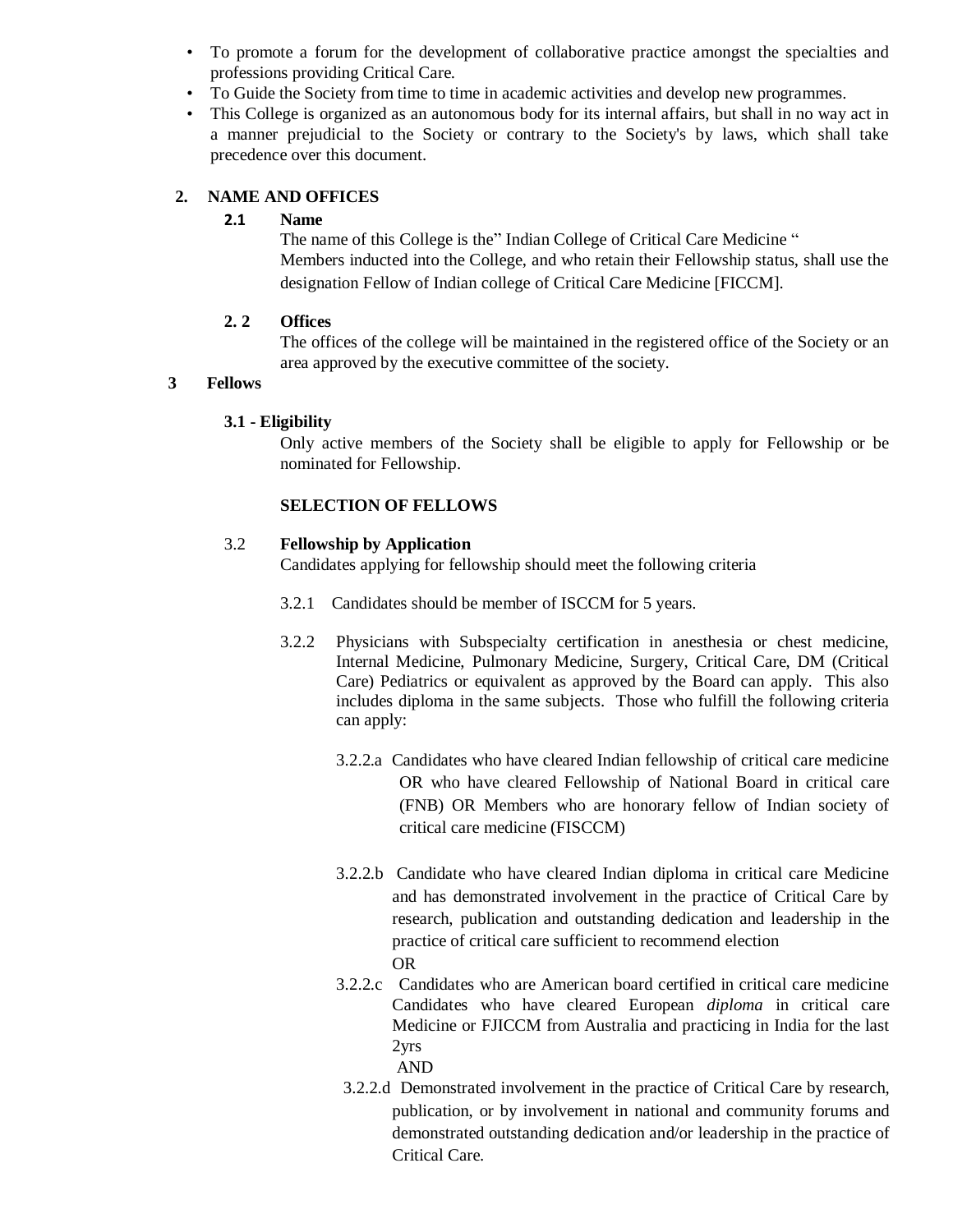- To promote a forum for the development of collaborative practice amongst the specialties and professions providing Critical Care.
- To Guide the Society from time to time in academic activities and develop new programmes.
- This College is organized as an autonomous body for its internal affairs, but shall in no way act in a manner prejudicial to the Society or contrary to the Society's by laws, which shall take precedence over this document.

## **2. NAME AND OFFICES**

### **2.1 Name**

The name of this College is the" Indian College of Critical Care Medicine " Members inducted into the College, and who retain their Fellowship status, shall use the designation Fellow of Indian college of Critical Care Medicine [FICCM].

## **2. 2 Offices**

The offices of the college will be maintained in the registered office of the Society or an area approved by the executive committee of the society.

## **3 Fellows**

## **3.1 - Eligibility**

Only active members of the Society shall be eligible to apply for Fellowship or be nominated for Fellowship.

## **SELECTION OF FELLOWS**

### 3.2 **Fellowship by Application**

Candidates applying for fellowship should meet the following criteria

- 3.2.1 Candidates should be member of ISCCM for 5 years.
- 3.2.2 Physicians with Subspecialty certification in anesthesia or chest medicine, Internal Medicine, Pulmonary Medicine, Surgery, Critical Care, DM (Critical Care) Pediatrics or equivalent as approved by the Board can apply. This also includes diploma in the same subjects. Those who fulfill the following criteria can apply:
	- 3.2.2.a Candidates who have cleared Indian fellowship of critical care medicine OR who have cleared Fellowship of National Board in critical care (FNB) OR Members who are honorary fellow of Indian society of critical care medicine (FISCCM)
	- 3.2.2.b Candidate who have cleared Indian diploma in critical care Medicine and has demonstrated involvement in the practice of Critical Care by research, publication and outstanding dedication and leadership in the practice of critical care sufficient to recommend election OR
	- 3.2.2.c Candidates who are American board certified in critical care medicine Candidates who have cleared European *diploma* in critical care Medicine or FJICCM from Australia and practicing in India for the last 2yrs AND
	- 3.2.2.d Demonstrated involvement in the practice of Critical Care by research, publication, or by involvement in national and community forums and demonstrated outstanding dedication and/or leadership in the practice of Critical Care.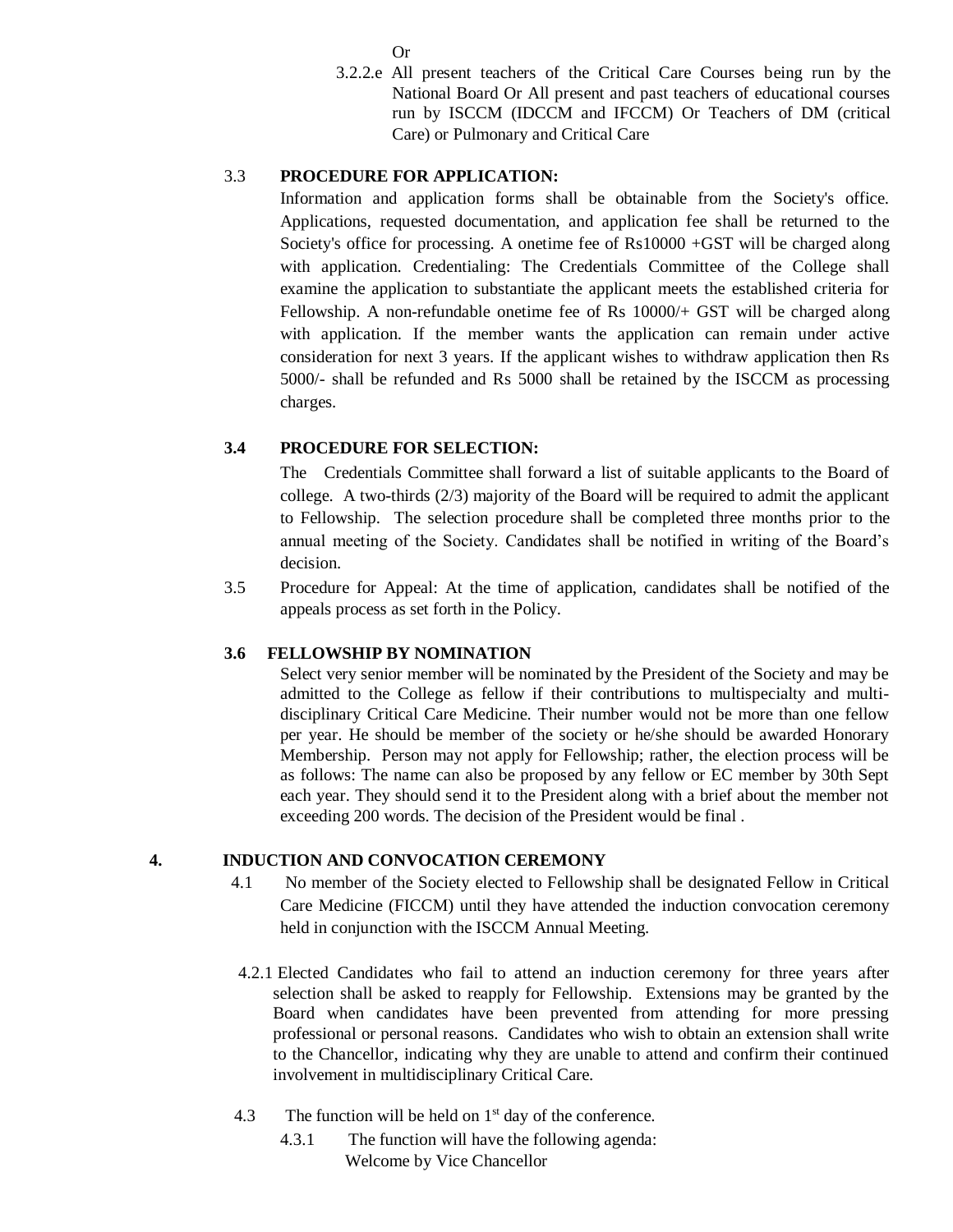Or

3.2.2.e All present teachers of the Critical Care Courses being run by the National Board Or All present and past teachers of educational courses run by ISCCM (IDCCM and IFCCM) Or Teachers of DM (critical Care) or Pulmonary and Critical Care

## 3.3 **PROCEDURE FOR APPLICATION:**

Information and application forms shall be obtainable from the Society's office. Applications, requested documentation, and application fee shall be returned to the Society's office for processing. A onetime fee of Rs10000 +GST will be charged along with application. Credentialing: The Credentials Committee of the College shall examine the application to substantiate the applicant meets the established criteria for Fellowship. A non-refundable onetime fee of Rs 10000/+ GST will be charged along with application. If the member wants the application can remain under active consideration for next 3 years. If the applicant wishes to withdraw application then Rs 5000/- shall be refunded and Rs 5000 shall be retained by the ISCCM as processing charges.

## **3.4 PROCEDURE FOR SELECTION:**

The Credentials Committee shall forward a list of suitable applicants to the Board of college. A two-thirds (2/3) majority of the Board will be required to admit the applicant to Fellowship. The selection procedure shall be completed three months prior to the annual meeting of the Society. Candidates shall be notified in writing of the Board's decision.

3.5 Procedure for Appeal: At the time of application, candidates shall be notified of the appeals process as set forth in the Policy.

## **3.6 FELLOWSHIP BY NOMINATION**

Select very senior member will be nominated by the President of the Society and may be admitted to the College as fellow if their contributions to multispecialty and multidisciplinary Critical Care Medicine. Their number would not be more than one fellow per year. He should be member of the society or he/she should be awarded Honorary Membership. Person may not apply for Fellowship; rather, the election process will be as follows: The name can also be proposed by any fellow or EC member by 30th Sept each year. They should send it to the President along with a brief about the member not exceeding 200 words. The decision of the President would be final .

## **4. INDUCTION AND CONVOCATION CEREMONY**

- 4.1 No member of the Society elected to Fellowship shall be designated Fellow in Critical Care Medicine (FICCM) until they have attended the induction convocation ceremony held in conjunction with the ISCCM Annual Meeting.
- 4.2.1 Elected Candidates who fail to attend an induction ceremony for three years after selection shall be asked to reapply for Fellowship. Extensions may be granted by the Board when candidates have been prevented from attending for more pressing professional or personal reasons. Candidates who wish to obtain an extension shall write to the Chancellor, indicating why they are unable to attend and confirm their continued involvement in multidisciplinary Critical Care.
- 4.3 The function will be held on  $1<sup>st</sup>$  day of the conference.
	- 4.3.1 The function will have the following agenda: Welcome by Vice Chancellor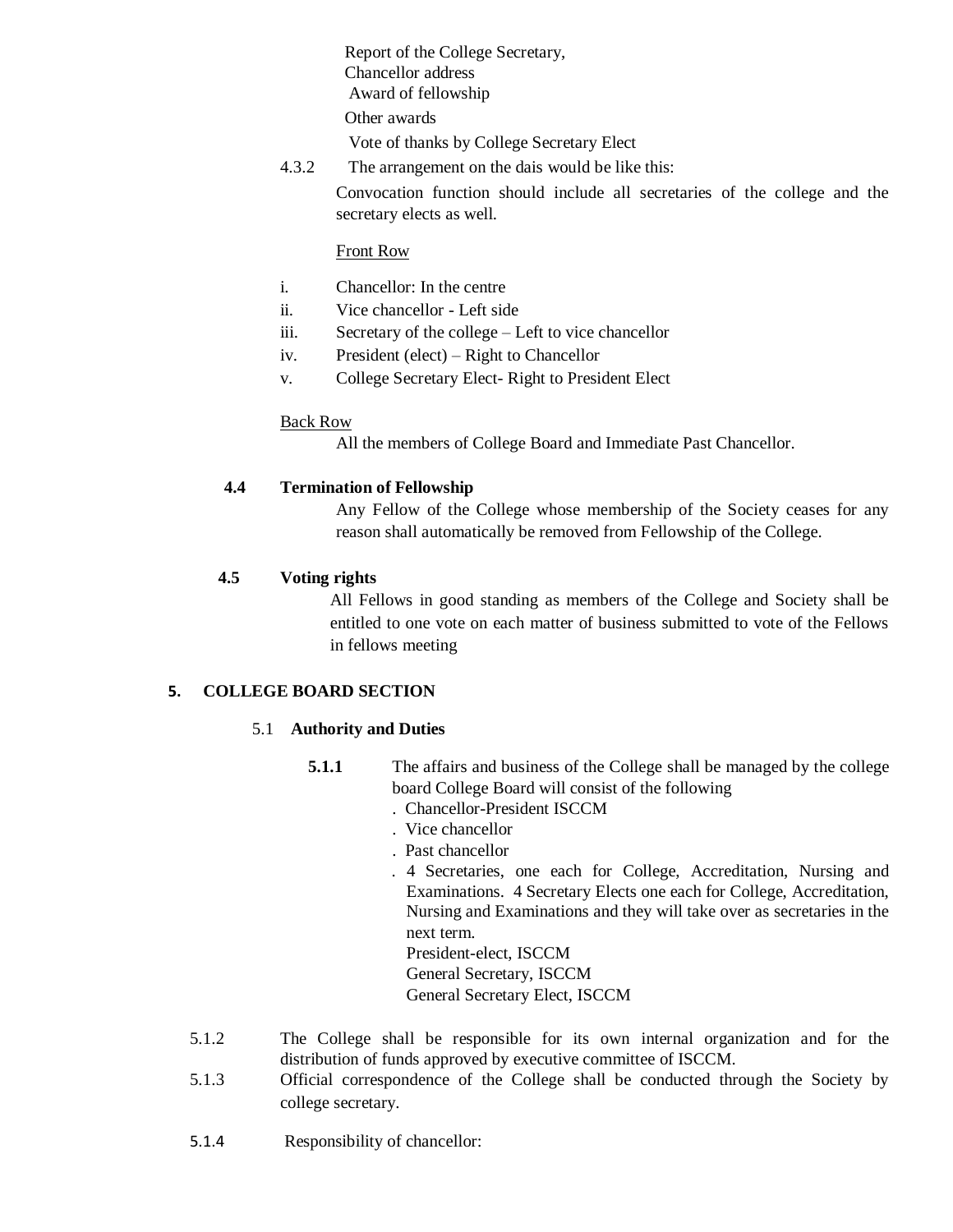Report of the College Secretary, Chancellor address Award of fellowship Other awards

Vote of thanks by College Secretary Elect

4.3.2 The arrangement on the dais would be like this:

Convocation function should include all secretaries of the college and the secretary elects as well.

### Front Row

- i. Chancellor: In the centre
- ii. Vice chancellor Left side
- iii. Secretary of the college Left to vice chancellor
- iv. President (elect) Right to Chancellor
- v. College Secretary Elect- Right to President Elect

### Back Row

All the members of College Board and Immediate Past Chancellor.

## **4.4 Termination of Fellowship**

Any Fellow of the College whose membership of the Society ceases for any reason shall automatically be removed from Fellowship of the College.

## **4.5 Voting rights**

All Fellows in good standing as members of the College and Society shall be entitled to one vote on each matter of business submitted to vote of the Fellows in fellows meeting

### **5. COLLEGE BOARD SECTION**

### 5.1 **Authority and Duties**

- **5.1.1** The affairs and business of the College shall be managed by the college board College Board will consist of the following
	- . Chancellor-President ISCCM
	- . Vice chancellor
	- . Past chancellor
	- . 4 Secretaries, one each for College, Accreditation, Nursing and Examinations. 4 Secretary Elects one each for College, Accreditation, Nursing and Examinations and they will take over as secretaries in the next term.
		- President-elect, ISCCM
		- General Secretary, ISCCM
		- General Secretary Elect, ISCCM
- 5.1.2 The College shall be responsible for its own internal organization and for the distribution of funds approved by executive committee of ISCCM.
- 5.1.3 Official correspondence of the College shall be conducted through the Society by college secretary.
- 5.1.4 Responsibility of chancellor: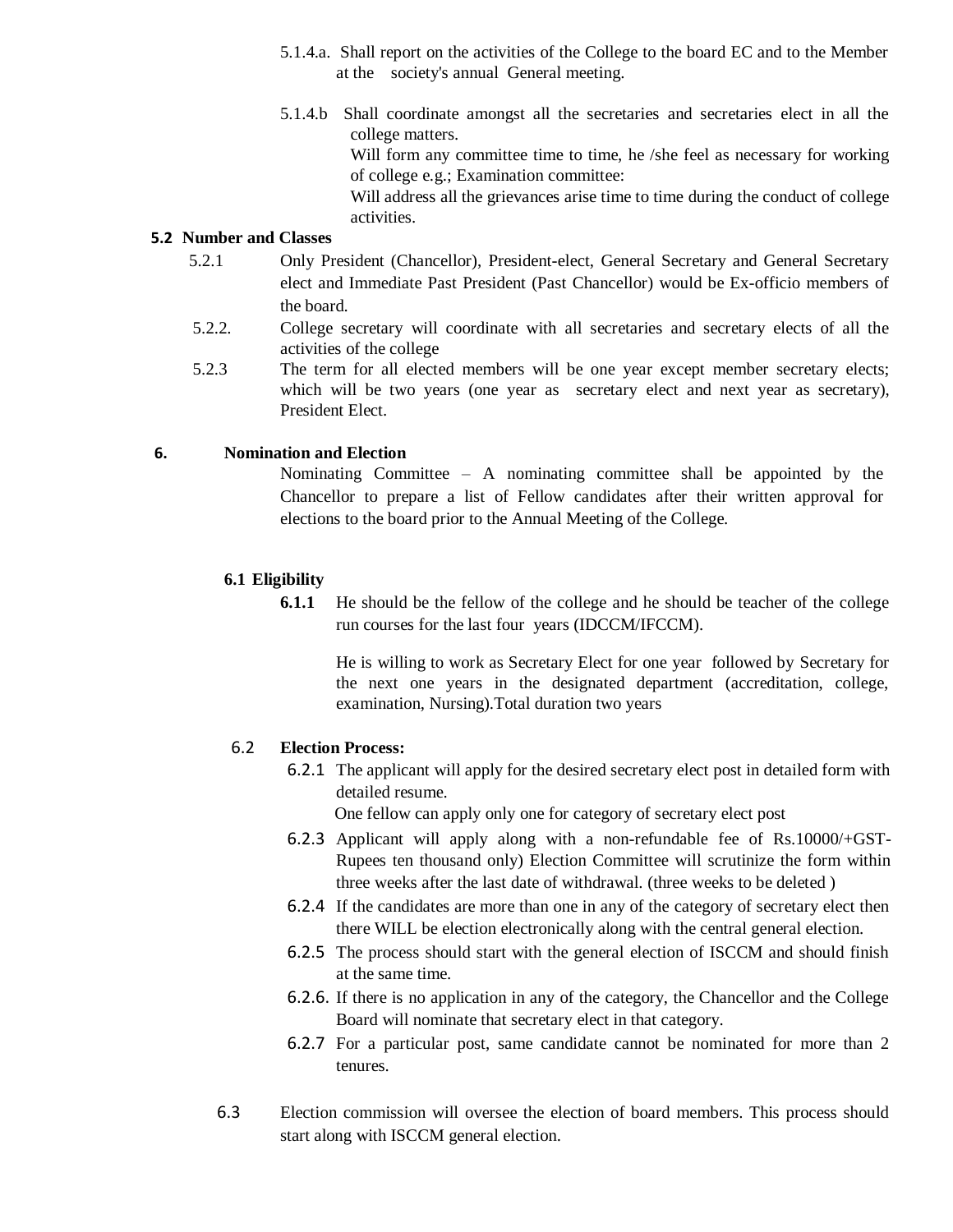- 5.1.4.a. Shall report on the activities of the College to the board EC and to the Member at the society's annual General meeting.
- 5.1.4.b Shall coordinate amongst all the secretaries and secretaries elect in all the college matters.

Will form any committee time to time, he /she feel as necessary for working of college e.g.; Examination committee:

 Will address all the grievances arise time to time during the conduct of college activities.

### **5.2 Number and Classes**

- 5.2.1 Only President (Chancellor), President-elect, General Secretary and General Secretary elect and Immediate Past President (Past Chancellor) would be Ex-officio members of the board.
- 5.2.2. College secretary will coordinate with all secretaries and secretary elects of all the activities of the college
- 5.2.3 The term for all elected members will be one year except member secretary elects; which will be two years (one year as secretary elect and next year as secretary), President Elect.

### **6. Nomination and Election**

Nominating Committee – A nominating committee shall be appointed by the Chancellor to prepare a list of Fellow candidates after their written approval for elections to the board prior to the Annual Meeting of the College.

### **6.1 Eligibility**

**6.1.1** He should be the fellow of the college and he should be teacher of the college run courses for the last four years (IDCCM/IFCCM).

He is willing to work as Secretary Elect for one year followed by Secretary for the next one years in the designated department (accreditation, college, examination, Nursing).Total duration two years

### 6.2 **Election Process:**

6.2.1 The applicant will apply for the desired secretary elect post in detailed form with detailed resume.

One fellow can apply only one for category of secretary elect post

- 6.2.3 Applicant will apply along with a non-refundable fee of Rs.10000/+GST-Rupees ten thousand only) Election Committee will scrutinize the form within three weeks after the last date of withdrawal. (three weeks to be deleted )
- 6.2.4 If the candidates are more than one in any of the category of secretary elect then there WILL be election electronically along with the central general election.
- 6.2.5 The process should start with the general election of ISCCM and should finish at the same time.
- 6.2.6. If there is no application in any of the category, the Chancellor and the College Board will nominate that secretary elect in that category.
- 6.2.7 For a particular post, same candidate cannot be nominated for more than 2 tenures.
- 6.3 Election commission will oversee the election of board members. This process should start along with ISCCM general election.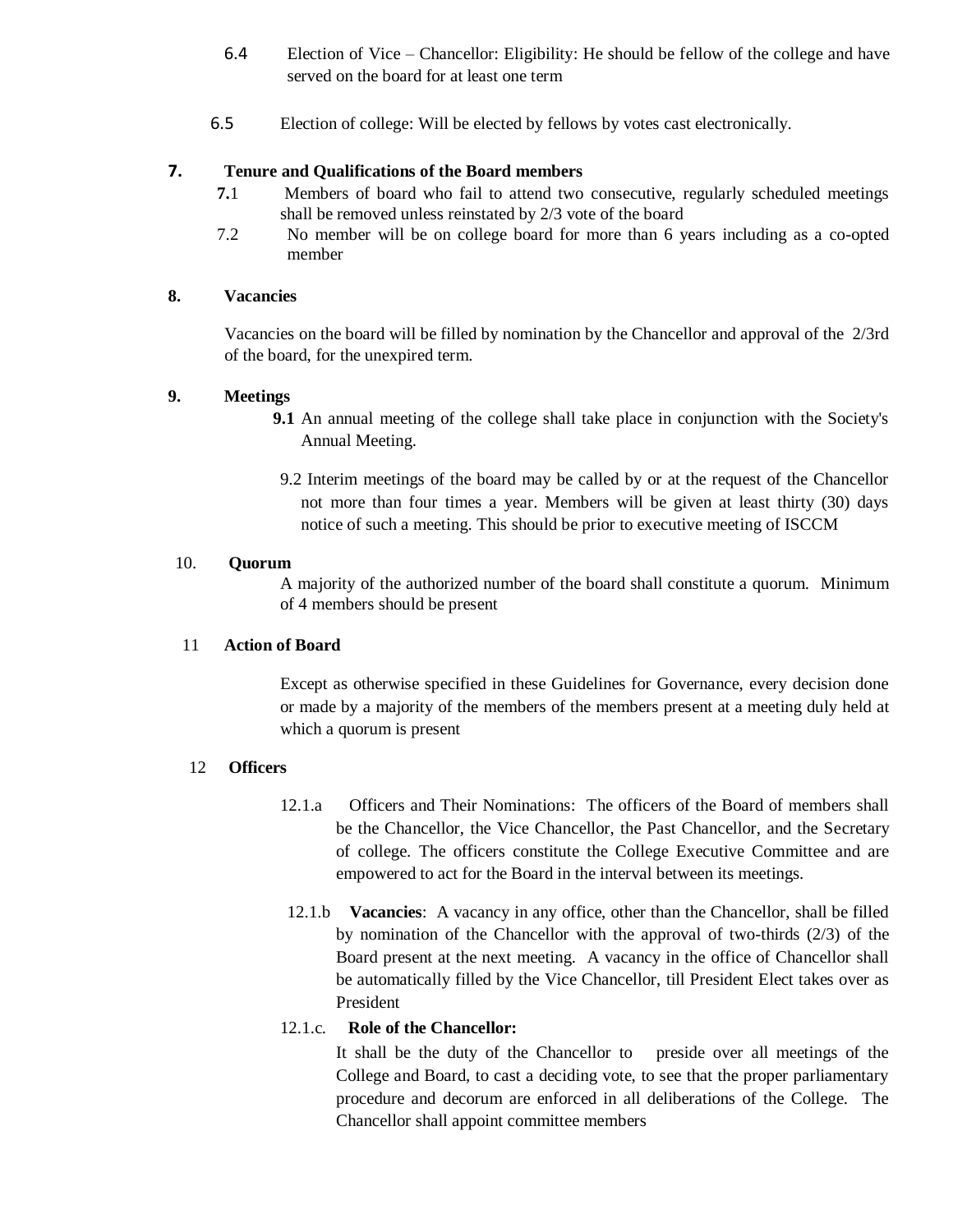- 6.4 Election of Vice Chancellor: Eligibility: He should be fellow of the college and have served on the board for at least one term
- 6.5 Election of college: Will be elected by fellows by votes cast electronically.

## **7. Tenure and Qualifications of the Board members**

- **7.**1 Members of board who fail to attend two consecutive, regularly scheduled meetings shall be removed unless reinstated by 2/3 vote of the board
- 7.2 No member will be on college board for more than 6 years including as a co-opted member

## **8. Vacancies**

Vacancies on the board will be filled by nomination by the Chancellor and approval of the 2/3rd of the board, for the unexpired term.

## **9. Meetings**

- **9.1** An annual meeting of the college shall take place in conjunction with the Society's Annual Meeting.
	- 9.2 Interim meetings of the board may be called by or at the request of the Chancellor not more than four times a year. Members will be given at least thirty (30) days notice of such a meeting. This should be prior to executive meeting of ISCCM

### 10. **Quorum**

A majority of the authorized number of the board shall constitute a quorum. Minimum of 4 members should be present

### 11 **Action of Board**

Except as otherwise specified in these Guidelines for Governance, every decision done or made by a majority of the members of the members present at a meeting duly held at which a quorum is present

## 12 **Officers**

- 12.1.a Officers and Their Nominations: The officers of the Board of members shall be the Chancellor, the Vice Chancellor, the Past Chancellor, and the Secretary of college. The officers constitute the College Executive Committee and are empowered to act for the Board in the interval between its meetings.
- 12.1.b **Vacancies**: A vacancy in any office, other than the Chancellor, shall be filled by nomination of the Chancellor with the approval of two-thirds  $(2/3)$  of the Board present at the next meeting. A vacancy in the office of Chancellor shall be automatically filled by the Vice Chancellor, till President Elect takes over as President

## 12.1.c. **Role of the Chancellor:**

It shall be the duty of the Chancellor to preside over all meetings of the College and Board, to cast a deciding vote, to see that the proper parliamentary procedure and decorum are enforced in all deliberations of the College. The Chancellor shall appoint committee members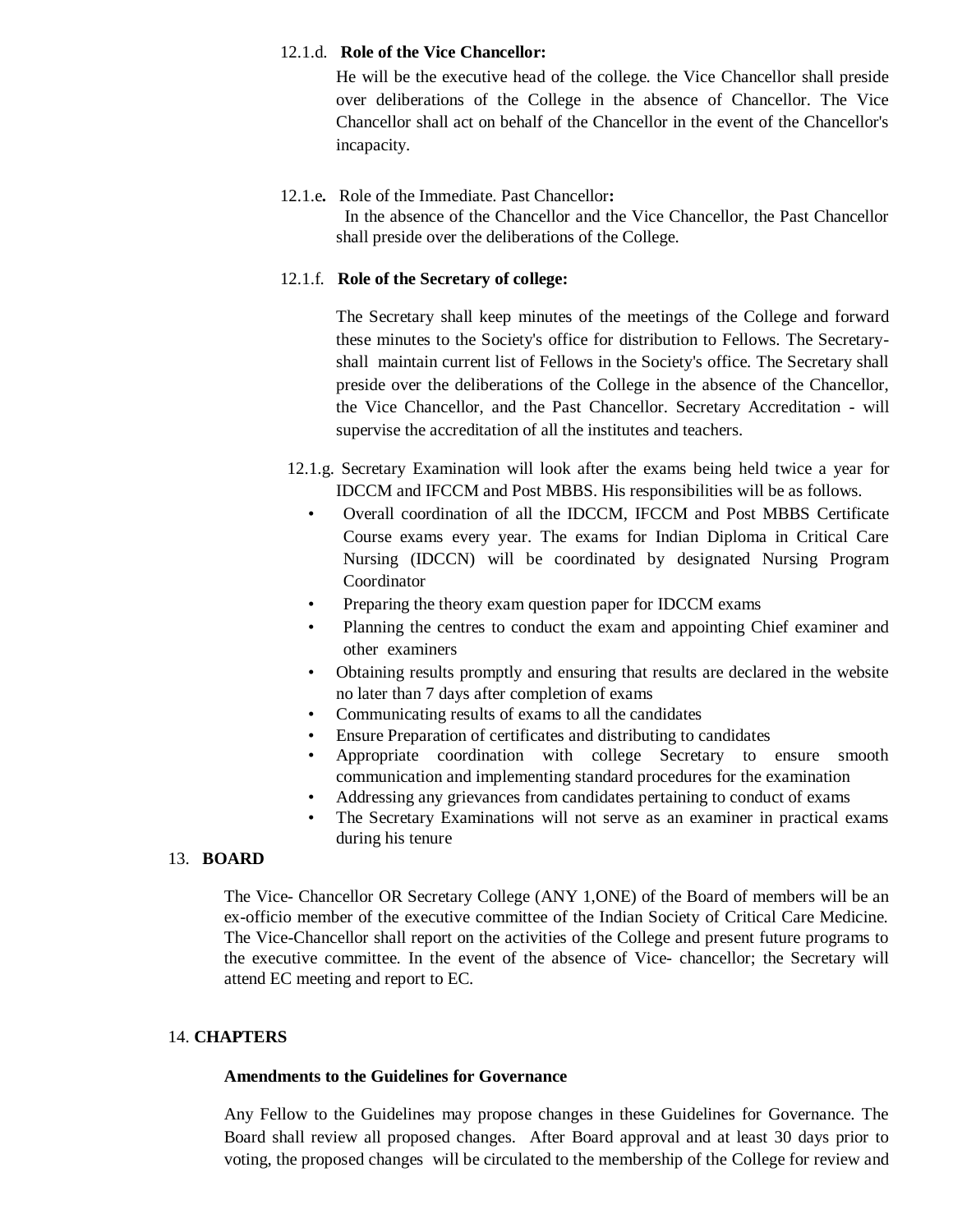### 12.1.d. **Role of the Vice Chancellor:**

He will be the executive head of the college. the Vice Chancellor shall preside over deliberations of the College in the absence of Chancellor. The Vice Chancellor shall act on behalf of the Chancellor in the event of the Chancellor's incapacity.

### 12.1.e**.** Role of the Immediate. Past Chancellor**:**

 In the absence of the Chancellor and the Vice Chancellor, the Past Chancellor shall preside over the deliberations of the College.

### 12.1.f. **Role of the Secretary of college:**

The Secretary shall keep minutes of the meetings of the College and forward these minutes to the Society's office for distribution to Fellows. The Secretaryshall maintain current list of Fellows in the Society's office. The Secretary shall preside over the deliberations of the College in the absence of the Chancellor, the Vice Chancellor, and the Past Chancellor. Secretary Accreditation - will supervise the accreditation of all the institutes and teachers.

- 12.1.g. Secretary Examination will look after the exams being held twice a year for IDCCM and IFCCM and Post MBBS. His responsibilities will be as follows.
	- Overall coordination of all the IDCCM, IFCCM and Post MBBS Certificate Course exams every year. The exams for Indian Diploma in Critical Care Nursing (IDCCN) will be coordinated by designated Nursing Program Coordinator
	- Preparing the theory exam question paper for IDCCM exams
	- Planning the centres to conduct the exam and appointing Chief examiner and other examiners
	- Obtaining results promptly and ensuring that results are declared in the website no later than 7 days after completion of exams
	- Communicating results of exams to all the candidates
	- Ensure Preparation of certificates and distributing to candidates
		- Appropriate coordination with college Secretary to ensure smooth communication and implementing standard procedures for the examination
		- Addressing any grievances from candidates pertaining to conduct of exams
		- The Secretary Examinations will not serve as an examiner in practical exams during his tenure

### 13. **BOARD**

The Vice- Chancellor OR Secretary College (ANY 1,ONE) of the Board of members will be an ex-officio member of the executive committee of the Indian Society of Critical Care Medicine. The Vice-Chancellor shall report on the activities of the College and present future programs to the executive committee. In the event of the absence of Vice- chancellor; the Secretary will attend EC meeting and report to EC.

### 14. **CHAPTERS**

### **Amendments to the Guidelines for Governance**

Any Fellow to the Guidelines may propose changes in these Guidelines for Governance. The Board shall review all proposed changes. After Board approval and at least 30 days prior to voting, the proposed changes will be circulated to the membership of the College for review and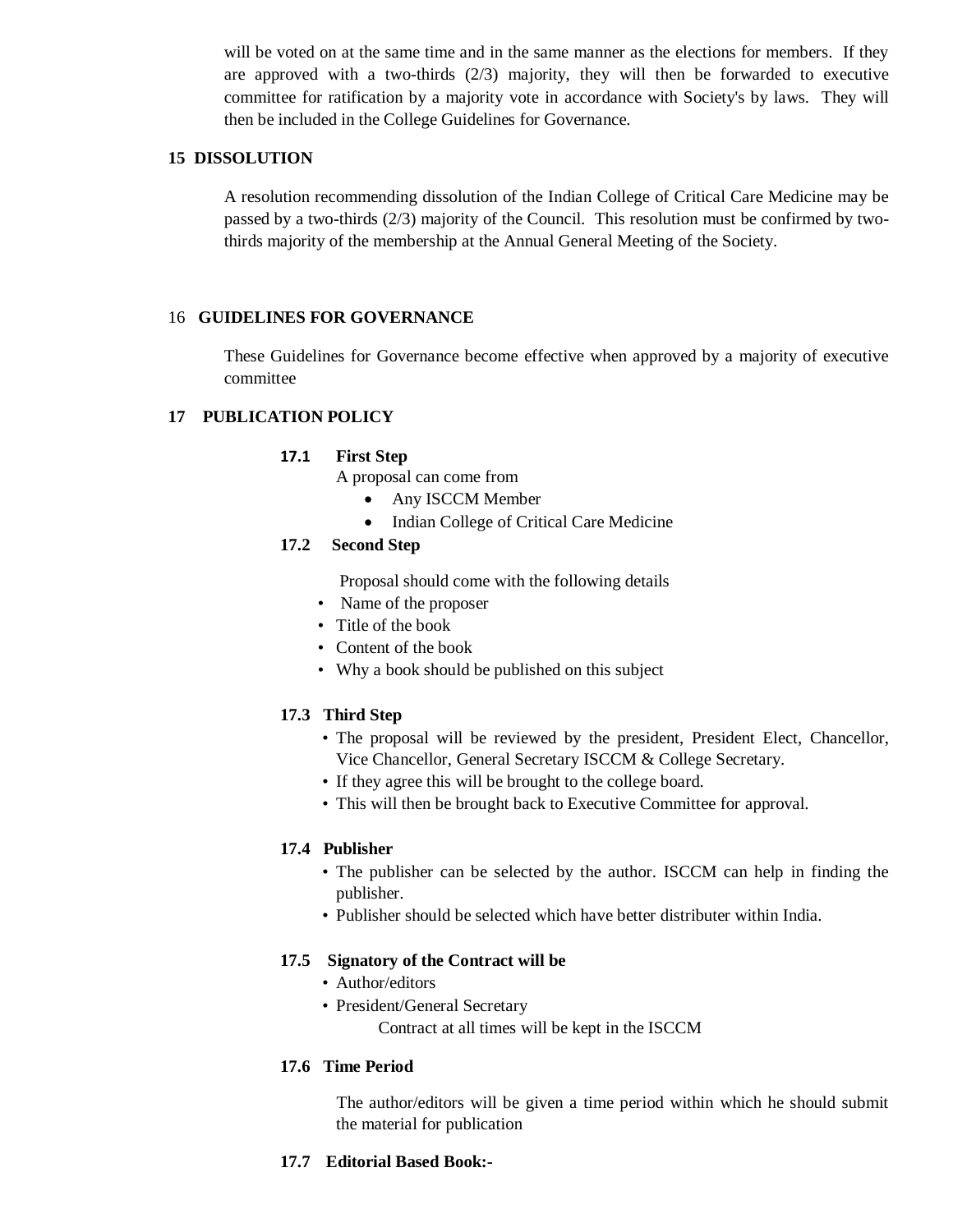will be voted on at the same time and in the same manner as the elections for members. If they are approved with a two-thirds (2/3) majority, they will then be forwarded to executive committee for ratification by a majority vote in accordance with Society's by laws. They will then be included in the College Guidelines for Governance.

### **15 DISSOLUTION**

A resolution recommending dissolution of the Indian College of Critical Care Medicine may be passed by a two-thirds (2/3) majority of the Council. This resolution must be confirmed by twothirds majority of the membership at the Annual General Meeting of the Society.

### 16 **GUIDELINES FOR GOVERNANCE**

These Guidelines for Governance become effective when approved by a majority of executive committee

### **17 PUBLICATION POLICY**

### **17.1 First Step**

A proposal can come from

- Any ISCCM Member
- Indian College of Critical Care Medicine

### **17.2 Second Step**

Proposal should come with the following details

- Name of the proposer
- Title of the book
- Content of the book
- Why a book should be published on this subject

### **17.3 Third Step**

- The proposal will be reviewed by the president, President Elect, Chancellor, Vice Chancellor, General Secretary ISCCM & College Secretary.
- If they agree this will be brought to the college board.
- This will then be brought back to Executive Committee for approval.

### **17.4 Publisher**

- The publisher can be selected by the author. ISCCM can help in finding the publisher.
- Publisher should be selected which have better distributer within India.

### **17.5 Signatory of the Contract will be**

- Author/editors
- President/General Secretary Contract at all times will be kept in the ISCCM

### **17.6 Time Period**

The author/editors will be given a time period within which he should submit the material for publication

### **17.7 Editorial Based Book:-**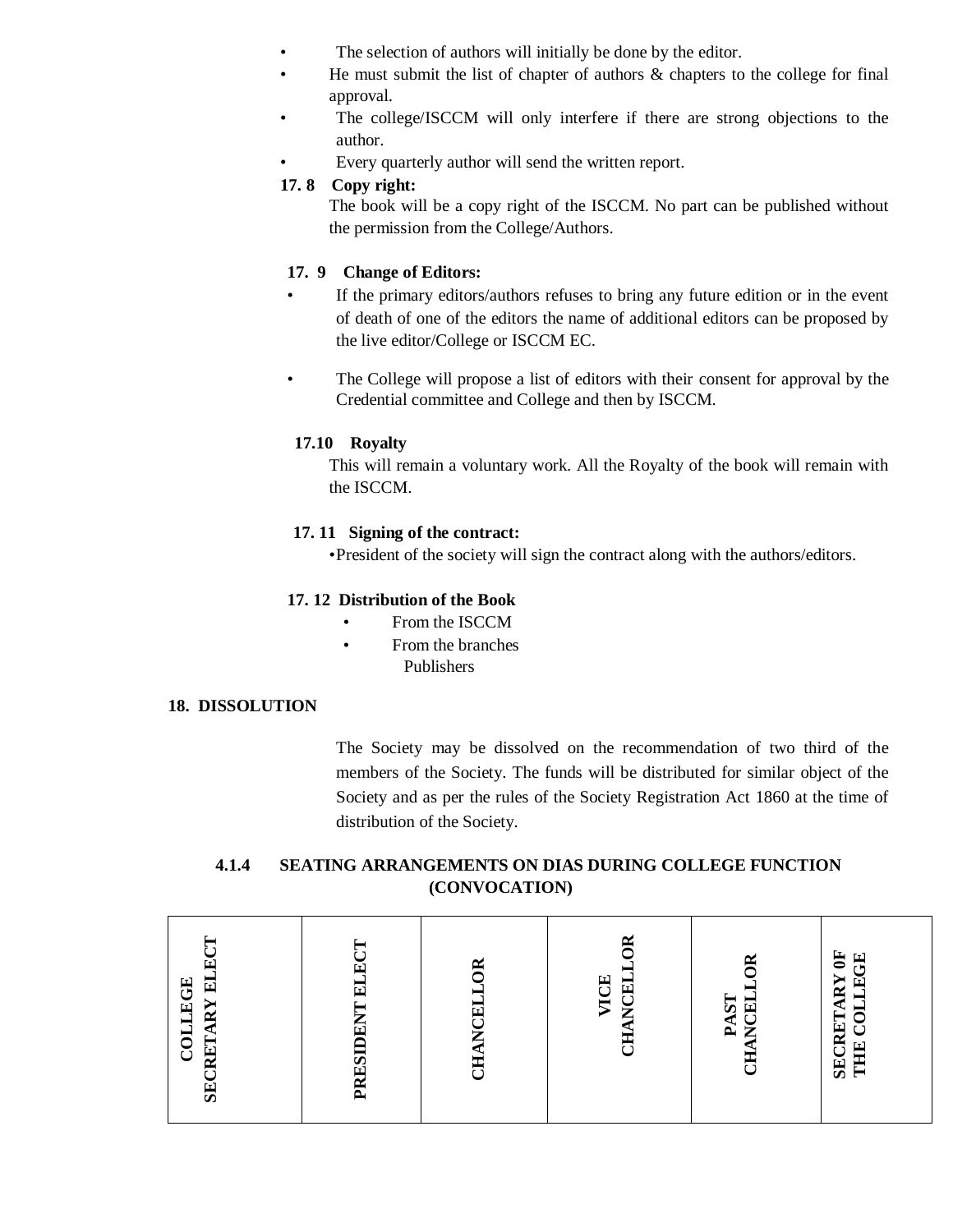- The selection of authors will initially be done by the editor.
- He must submit the list of chapter of authors  $\&$  chapters to the college for final approval.
- The college/ISCCM will only interfere if there are strong objections to the author.
- Every quarterly author will send the written report.

## **17. 8 Copy right:**

The book will be a copy right of the ISCCM. No part can be published without the permission from the College/Authors.

## **17. 9 Change of Editors:**

- If the primary editors/authors refuses to bring any future edition or in the event of death of one of the editors the name of additional editors can be proposed by the live editor/College or ISCCM EC.
- The College will propose a list of editors with their consent for approval by the Credential committee and College and then by ISCCM.

## **17.10 Royalty**

This will remain a voluntary work. All the Royalty of the book will remain with the ISCCM.

### **17. 11 Signing of the contract:**

•President of the society will sign the contract along with the authors/editors.

## **17. 12 Distribution of the Book**

- From the ISCCM
- From the branches Publishers

### **18. DISSOLUTION**

The Society may be dissolved on the recommendation of two third of the members of the Society. The funds will be distributed for similar object of the Society and as per the rules of the Society Registration Act 1860 at the time of distribution of the Society.

## **4.1.4 SEATING ARRANGEMENTS ON DIAS DURING COLLEGE FUNCTION (CONVOCATION)**